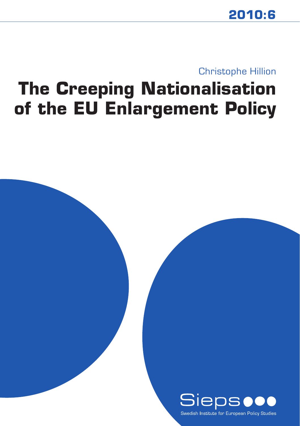## Christophe Hillion

# **The Creeping Nationalisation of the EU Enlargement Policy**

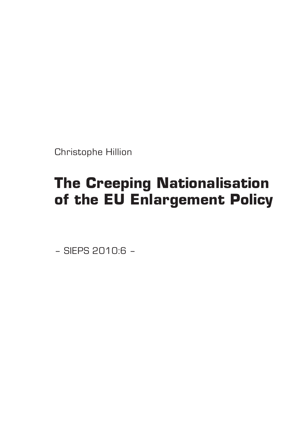Christophe Hillion

## **The Creeping Nationalisation of the EU Enlargement Policy**

– SIEPS 2010:6 –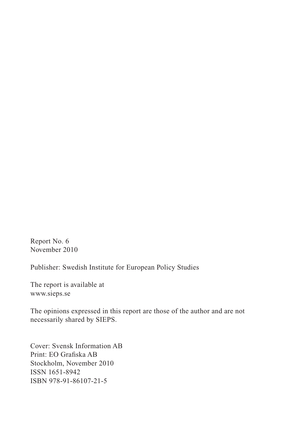Report No. 6 November 2010

Publisher: Swedish Institute for European Policy Studies

The report is available at www.sieps.se

The opinions expressed in this report are those of the author and are not necessarily shared by SIEPS.

Cover: Svensk Information AB Print: EO Grafiska AB Stockholm, November 2010 ISSN 1651-8942 ISBN 978-91-86107-21-5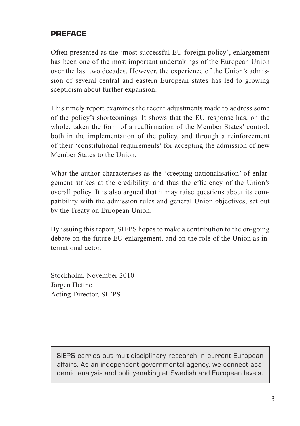#### **PREFACE**

Often presented as the 'most successful EU foreign policy', enlargement has been one of the most important undertakings of the European Union over the last two decades. However, the experience of the Union's admission of several central and eastern European states has led to growing scepticism about further expansion.

This timely report examines the recent adjustments made to address some of the policy's shortcomings. It shows that the EU response has, on the whole, taken the form of a reaffirmation of the Member States' control, both in the implementation of the policy, and through a reinforcement of their 'constitutional requirements' for accepting the admission of new Member States to the Union.

What the author characterises as the 'creeping nationalisation' of enlargement strikes at the credibility, and thus the efficiency of the Union's overall policy. It is also argued that it may raise questions about its compatibility with the admission rules and general Union objectives, set out by the Treaty on European Union.

By issuing this report, SIEPS hopes to make a contribution to the on-going debate on the future EU enlargement, and on the role of the Union as international actor.

Stockholm, November 2010 Jörgen Hettne Acting Director, SIEPS

SIEPS carries out multidisciplinary research in current European affairs. As an independent governmental agency, we connect academic analysis and policy-making at Swedish and European levels.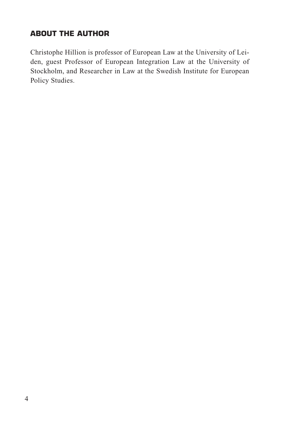## **ABOUT THE AUTHOR**

Christophe Hillion is professor of European Law at the University of Leiden, guest Professor of European Integration Law at the University of Stockholm, and Researcher in Law at the Swedish Institute for European Policy Studies.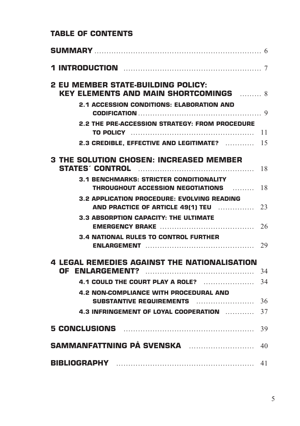## **Table of Contents**

| <b>2 EU MEMBER STATE-BUILDING POLICY:</b><br><b>KEY ELEMENTS AND MAIN SHORTCOMINGS</b> 8   |    |
|--------------------------------------------------------------------------------------------|----|
| <b>2.1 ACCESSION CONDITIONS: ELABORATION AND</b>                                           |    |
| <b>2.2 THE PRE-ACCESSION STRATEGY: FROM PROCEDURE</b>                                      | 11 |
| 2.3 CREDIBLE. EFFECTIVE AND LEGITIMATE?                                                    | 15 |
| <b>3 THE SOLUTION CHOSEN: INCREASED MEMBER</b>                                             | 18 |
| <b>3.1 BENCHMARKS: STRICTER CONDITIONALITY</b><br><b>THROUGHOUT ACCESSION NEGOTIATIONS</b> | 18 |
| <b>3.2 APPLICATION PROCEDURE: EVOLVING READING</b><br>AND PRACTICE OF ARTICLE 49(1) TEU    | 23 |
| <b>3.3 ABSORPTION CAPACITY: THE ULTIMATE</b>                                               | 26 |
| <b>3.4 NATIONAL RULES TO CONTROL FURTHER</b>                                               | 29 |
| <b>4 LEGAL REMEDIES AGAINST THE NATIONALISATION</b>                                        | 34 |
| 4.1 COULD THE COURT PLAY A ROLE?                                                           | 34 |
| 4.2 NON-COMPLIANCE WITH PROCEDURAL AND<br><b>SUBSTANTIVE REQUIREMENTS</b>                  | 36 |
| 4.3 INFRINGEMENT OF LOYAL COOPERATION                                                      | 37 |
|                                                                                            | 39 |
| SAMMANFATTNING PÅ SVENSKA                                                                  | 40 |
|                                                                                            | 41 |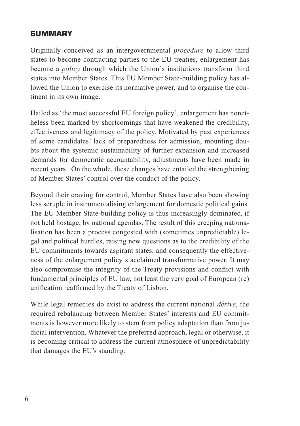## **SUMMARY**

Originally conceived as an intergovernmental *procedure* to allow third states to become contracting parties to the EU treaties, enlargement has become a *policy* through which the Union´s institutions transform third states into Member States. This EU Member State-building policy has allowed the Union to exercise its normative power, and to organise the continent in its own image.

Hailed as 'the most successful EU foreign policy', enlargement has nonetheless been marked by shortcomings that have weakened the credibility, effectiveness and legitimacy of the policy. Motivated by past experiences of some candidates' lack of preparedness for admission, mounting doubts about the systemic sustainability of further expansion and increased demands for democratic accountability, adjustments have been made in recent years. On the whole, these changes have entailed the strengthening of Member States' control over the conduct of the policy.

Beyond their craving for control, Member States have also been showing less scruple in instrumentalising enlargement for domestic political gains. The EU Member State-building policy is thus increasingly dominated, if not held hostage, by national agendas. The result of this creeping nationalisation has been a process congested with (sometimes unpredictable) legal and political hurdles, raising new questions as to the credibility of the EU commitments towards aspirant states, and consequently the effectiveness of the enlargement policy´s acclaimed transformative power. It may also compromise the integrity of the Treaty provisions and conflict with fundamental principles of EU law, not least the very goal of European (re) unification reaffirmed by the Treaty of Lisbon.

While legal remedies do exist to address the current national *dérive*, the required rebalancing between Member States' interests and EU commitments is however more likely to stem from policy adaptation than from judicial intervention. Whatever the preferred approach, legal or otherwise, it is becoming critical to address the current atmosphere of unpredictability that damages the EU's standing.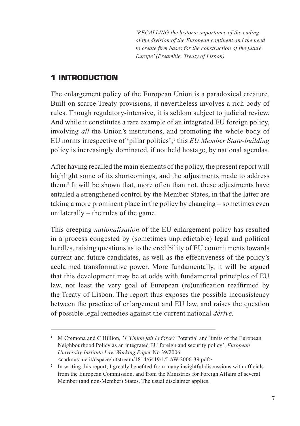*'RECALLING the historic importance of the ending of the division of the European continent and the need to create firm bases for the construction of the future Europe' (Preamble, Treaty of Lisbon)*

## **1 INTRODUCTION**

The enlargement policy of the European Union is a paradoxical creature. Built on scarce Treaty provisions, it nevertheless involves a rich body of rules. Though regulatory-intensive, it is seldom subject to judicial review. And while it constitutes a rare example of an integrated EU foreign policy, involving *all* the Union's institutions, and promoting the whole body of EU norms irrespective of 'pillar politics',1 this *EU Member State-building* policy is increasingly dominated, if not held hostage, by national agendas.

After having recalled the main elements of the policy, the present report will highlight some of its shortcomings, and the adjustments made to address them.2 It will be shown that, more often than not, these adjustments have entailed a strengthened control by the Member States, in that the latter are taking a more prominent place in the policy by changing – sometimes even unilaterally – the rules of the game.

This creeping *nationalisation* of the EU enlargement policy has resulted in a process congested by (sometimes unpredictable) legal and political hurdles, raising questions as to the credibility of EU commitments towards current and future candidates, as well as the effectiveness of the policy's acclaimed transformative power. More fundamentally, it will be argued that this development may be at odds with fundamental principles of EU law, not least the very goal of European (re)unification reaffirmed by the Treaty of Lisbon. The report thus exposes the possible inconsistency between the practice of enlargement and EU law, and raises the question of possible legal remedies against the current national *dérive.* 

<sup>&</sup>lt;sup>1</sup> M Cremona and C Hillion, '*L'Union fait la force?* Potential and limits of the European Neighbourhood Policy as an integrated EU foreign and security policy', *European University Institute Law Working Paper* No 39/2006 <cadmus.iue.it/dspace/bitstream/1814/6419/1/LAW-2006-39.pdf>

<sup>&</sup>lt;sup>2</sup> In writing this report, I greatly benefited from many insightful discussions with officials from the European Commission, and from the Ministries for Foreign Affairs of several Member (and non-Member) States. The usual disclaimer applies.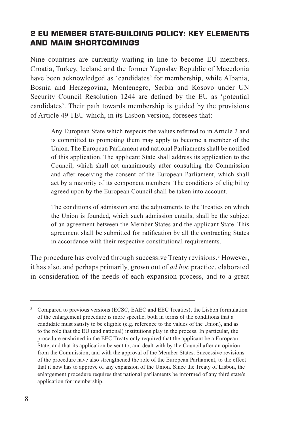## **2 EU MEMBER STATE-BUILDING POLICY: KEY ELEMENTS AND MAIN SHORTCOMINGS**

Nine countries are currently waiting in line to become EU members. Croatia, Turkey, Iceland and the former Yugoslav Republic of Macedonia have been acknowledged as 'candidates' for membership, while Albania, Bosnia and Herzegovina, Montenegro, Serbia and Kosovo under UN Security Council Resolution 1244 are defined by the EU as 'potential candidates'. Their path towards membership is guided by the provisions of Article 49 TEU which, in its Lisbon version, foresees that:

 Any European State which respects the values referred to in Article 2 and is committed to promoting them may apply to become a member of the Union. The European Parliament and national Parliaments shall be notified of this application. The applicant State shall address its application to the Council, which shall act unanimously after consulting the Commission and after receiving the consent of the European Parliament, which shall act by a majority of its component members. The conditions of eligibility agreed upon by the European Council shall be taken into account.

 The conditions of admission and the adjustments to the Treaties on which the Union is founded, which such admission entails, shall be the subject of an agreement between the Member States and the applicant State. This agreement shall be submitted for ratification by all the contracting States in accordance with their respective constitutional requirements.

The procedure has evolved through successive Treaty revisions.<sup>3</sup> However, it has also, and perhaps primarily, grown out of *ad hoc* practice, elaborated in consideration of the needs of each expansion process, and to a great

<sup>&</sup>lt;sup>3</sup> Compared to previous versions (ECSC, EAEC and EEC Treaties), the Lisbon formulation of the enlargement procedure is more specific, both in terms of the conditions that a candidate must satisfy to be eligible (e.g. reference to the values of the Union), and as to the role that the EU (and national) institutions play in the process. In particular, the procedure enshrined in the EEC Treaty only required that the applicant be a European State, and that its application be sent to, and dealt with by the Council after an opinion from the Commission, and with the approval of the Member States. Successive revisions of the procedure have also strengthened the role of the European Parliament, to the effect that it now has to approve of any expansion of the Union. Since the Treaty of Lisbon, the enlargement procedure requires that national parliaments be informed of any third state's application for membership.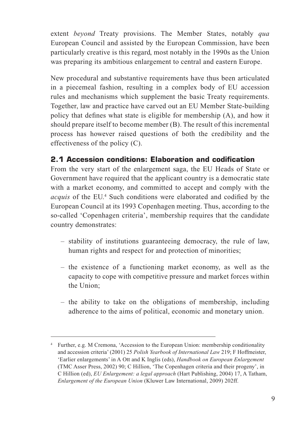extent *beyond* Treaty provisions. The Member States, notably *qua*  European Council and assisted by the European Commission, have been particularly creative is this regard, most notably in the 1990s as the Union was preparing its ambitious enlargement to central and eastern Europe.

New procedural and substantive requirements have thus been articulated in a piecemeal fashion, resulting in a complex body of EU accession rules and mechanisms which supplement the basic Treaty requirements. Together, law and practice have carved out an EU Member State-building policy that defines what state is eligible for membership (A), and how it should prepare itself to become member (B). The result of this incremental process has however raised questions of both the credibility and the effectiveness of the policy (C).

#### **2.1 Accession conditions: Elaboration and codification**

From the very start of the enlargement saga, the EU Heads of State or Government have required that the applicant country is a democratic state with a market economy, and committed to accept and comply with the acquis of the EU.<sup>4</sup> Such conditions were elaborated and codified by the European Council at its 1993 Copenhagen meeting. Thus, according to the so-called 'Copenhagen criteria', membership requires that the candidate country demonstrates:

- stability of institutions guaranteeing democracy, the rule of law, human rights and respect for and protection of minorities;
- the existence of a functioning market economy, as well as the capacity to cope with competitive pressure and market forces within the Union;
- the ability to take on the obligations of membership, including adherence to the aims of political, economic and monetary union.

<sup>4</sup> Further, e.g. M Cremona, 'Accession to the European Union: membership conditionality and accession criteria' (2001) 25 *Polish Yearbook of International Law* 219; F Hoffmeister, 'Earlier enlargements' in A Ott and K Inglis (eds), *Handbook on European Enlargement* (TMC Asser Press, 2002) 90; C Hillion, 'The Copenhagen criteria and their progeny', in C Hillion (ed), *EU Enlargement: a legal approach* (Hart Publishing, 2004) 17, A Tatham, *Enlargement of the European Union* (Kluwer Law International, 2009) 202ff.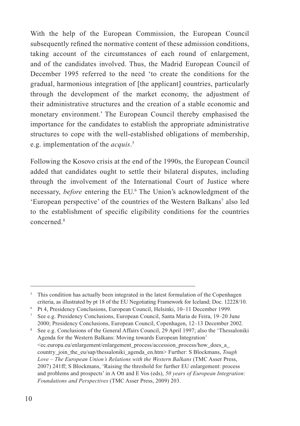With the help of the European Commission, the European Council subsequently refined the normative content of these admission conditions, taking account of the circumstances of each round of enlargement, and of the candidates involved. Thus, the Madrid European Council of December 1995 referred to the need 'to create the conditions for the gradual, harmonious integration of [the applicant] countries, particularly through the development of the market economy, the adjustment of their administrative structures and the creation of a stable economic and monetary environment.' The European Council thereby emphasised the importance for the candidates to establish the appropriate administrative structures to cope with the well-established obligations of membership, e.g. implementation of the *acquis*. 5

Following the Kosovo crisis at the end of the 1990s, the European Council added that candidates ought to settle their bilateral disputes, including through the involvement of the International Court of Justice where necessary, *before* entering the EU.6 The Union's acknowledgment of the 'European perspective' of the countries of the Western Balkans<sup>7</sup> also led to the establishment of specific eligibility conditions for the countries concerned<sup>8</sup>

<sup>&</sup>lt;sup>5</sup> This condition has actually been integrated in the latest formulation of the Copenhagen criteria, as illustrated by pt 18 of the EU Negotiating Framework for Iceland; Doc. 12228/10.

<sup>6</sup> Pt 4, Presidency Conclusions, European Council, Helsinki, 10–11 December 1999. 7

See e.g. Presidency Conclusions, European Council, Santa Maria de Feira, 19–20 June 2000; Presidency Conclusions, European Council, Copenhagen, 12–13 December 2002.

<sup>8</sup> See e.g. Conclusions of the General Affairs Council, 29 April 1997; also the 'Thessaloniki Agenda for the Western Balkans: Moving towards European Integration'  $\leq$ ec.europa.eu/enlargement/enlargement\_process/accession\_process/how\_does\_a\_ country\_join\_the\_eu/sap/thessaloniki\_agenda\_en.htm> Further: S Blockmans, *Tough Love – The European Union's Relations with the Western Balkans* (TMC Asser Press, 2007) 241ff; S Blockmans, 'Raising the threshold for further EU enlargement: process and problems and prospects' in A Ott and E Vos (eds), *50 years of European Integration: Foundations and Perspectives* (TMC Asser Press, 2009) 203.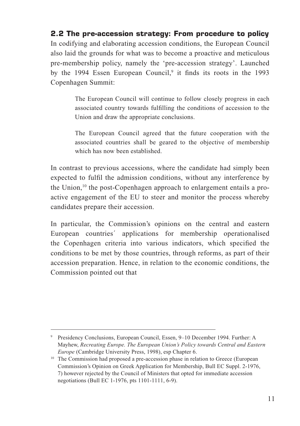#### **2.2 The pre-accession strategy: From procedure to policy**

In codifying and elaborating accession conditions, the European Council also laid the grounds for what was to become a proactive and meticulous pre-membership policy, namely the 'pre-accession strategy'. Launched by the 1994 Essen European Council,<sup>9</sup> it finds its roots in the 1993 Copenhagen Summit:

> The European Council will continue to follow closely progress in each associated country towards fulfilling the conditions of accession to the Union and draw the appropriate conclusions.

> The European Council agreed that the future cooperation with the associated countries shall be geared to the objective of membership which has now been established.

In contrast to previous accessions, where the candidate had simply been expected to fulfil the admission conditions, without any interference by the Union,<sup>10</sup> the post-Copenhagen approach to enlargement entails a proactive engagement of the EU to steer and monitor the process whereby candidates prepare their accession.

In particular, the Commission's opinions on the central and eastern European countries´ applications for membership operationalised the Copenhagen criteria into various indicators, which specified the conditions to be met by those countries, through reforms, as part of their accession preparation. Hence, in relation to the economic conditions, the Commission pointed out that

<sup>9</sup> Presidency Conclusions, European Council, Essen, 9–10 December 1994. Further: A Mayhew, *Recreating Europe. The European Union's Policy towards Central and Eastern Europe* (Cambridge University Press, 1998), esp Chapter 6.

<sup>&</sup>lt;sup>10</sup> The Commission had proposed a pre-accession phase in relation to Greece (European Commission's Opinion on Greek Application for Membership, Bull EC Suppl. 2-1976, 7) however rejected by the Council of Ministers that opted for immediate accession negotiations (Bull EC 1-1976, pts 1101-1111, 6-9).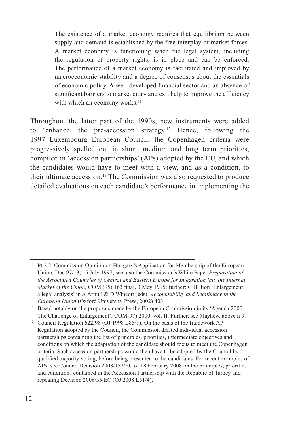The existence of a market economy requires that equilibrium between supply and demand is established by the free interplay of market forces. A market economy is functioning when the legal system, including the regulation of property rights, is in place and can be enforced. The performance of a market economy is facilitated and improved by macroeconomic stability and a degree of consensus about the essentials of economic policy. A well-developed financial sector and an absence of significant barriers to market entry and exit help to improve the efficiency with which an economy works.<sup>11</sup>

Throughout the latter part of the 1990s, new instruments were added to 'enhance' the pre-accession strategy.12 Hence, following the 1997 Luxembourg European Council, the Copenhagen criteria were progressively spelled out in short, medium and long term priorities, compiled in 'accession partnerships' (APs) adopted by the EU, and which the candidates would have to meet with a view, and as a condition, to their ultimate accession.13 The Commission was also requested to produce detailed evaluations on each candidate's performance in implementing the

<sup>11</sup> Pt 2.2, Commission Opinion on Hungary's Application for Membership of the European Union, Doc 97/13, 15 July 1997; see also the Commission's White Paper *Preparation of the Associated Countries of Central and Eastern Europe for Integration into the Internal Market of the Union*, COM (95) 163 final, 3 May 1995; further: C Hillion 'Enlargement: a legal analysis' in A Arnull & D Wincott (eds), *Accountability and Legitimacy in the* 

*European Union* (Oxford University Press, 2002) 403.<br><sup>12</sup> Based notably on the proposals made by the European Commission in its 'Agenda 2000. The Challenge of Enlargement', COM(97) 2000, vol. II. Further, see Mayhew, above n 9.

<sup>13</sup> Council Regulation 622/98 (OJ 1998 L85/1). On the basis of the framework AP Regulation adopted by the Council, the Commission drafted individual accession partnerships containing the list of principles, priorities, intermediate objectives and conditions on which the adaptation of the candidate should focus to meet the Copenhagen criteria. Such accession partnerships would then have to be adopted by the Council by qualified majority voting, before being presented to the candidates. For recent examples of APs: see Council Decision 2008/157/EC of 18 February 2008 on the principles, priorities and conditions contained in the Accession Partnership with the Republic of Turkey and repealing Decision 2006/35/EC (OJ 2008 L51/4).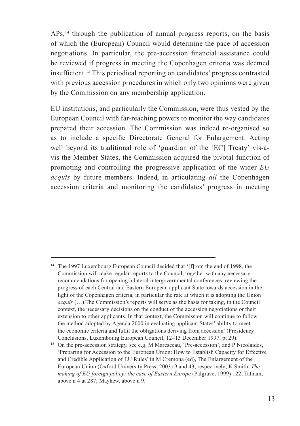APs,<sup>14</sup> through the publication of annual progress reports, on the basis of which the (European) Council would determine the pace of accession negotiations. In particular, the pre-accession financial assistance could be reviewed if progress in meeting the Copenhagen criteria was deemed insufficient.15 This periodical reporting on candidates' progress contrasted with previous accession procedures in which only two opinions were given by the Commission on any membership application.

EU institutions, and particularly the Commission, were thus vested by the European Council with far-reaching powers to monitor the way candidates prepared their accession. The Commission was indeed re-organised so as to include a specific Directorate General for Enlargement. Acting well beyond its traditional role of 'guardian of the [EC] Treaty' vis-àvis the Member States, the Commission acquired the pivotal function of promoting and controlling the progressive application of the wider *EU acquis* by future members. Indeed, in articulating *all* the Copenhagen accession criteria and monitoring the candidates' progress in meeting

<sup>&</sup>lt;sup>14</sup> The 1997 Luxembourg European Council decided that '[f]rom the end of 1998, the Commission will make regular reports to the Council, together with any necessary recommendations for opening bilateral intergovernmental conferences, reviewing the progress of each Central and Eastern European applicant State towards accession in the light of the Copenhagen criteria, in particular the rate at which it is adopting the Union *acquis* (…) The Commission's reports will serve as the basis for taking, in the Council context, the necessary decisions on the conduct of the accession negotiations or their extension to other applicants. In that context, the Commission will continue to follow the method adopted by Agenda 2000 in evaluating applicant States' ability to meet the economic criteria and fulfil the obligations deriving from accession' (Presidency Conclusions, Luxembourg European Council, 12–13 December 1997, pt 29).

<sup>&</sup>lt;sup>15</sup> On the pre-accession strategy, see e.g. M Maresceau, 'Pre-accession', and P Nicolaides, 'Preparing for Accession to the European Union: How to Establish Capacity for Effective and Credible Application of EU Rules' in M Cremona (ed), The Enlargement of the European Union (Oxford University Press, 2003) 9 and 43, respectively; K Smith, *The making of EU foreign policy: the case of Eastern Europe* (Palgrave, 1999) 122; Tatham, above n 4 at 287; Mayhew, above n 9.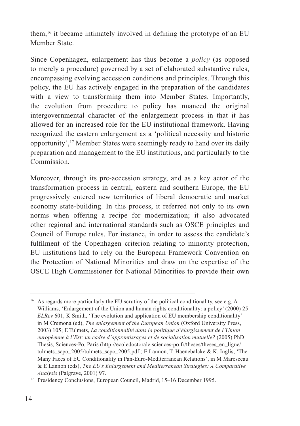them,16 it became intimately involved in defining the prototype of an EU Member State.

Since Copenhagen, enlargement has thus become a *policy* (as opposed to merely a procedure) governed by a set of elaborated substantive rules, encompassing evolving accession conditions and principles. Through this policy, the EU has actively engaged in the preparation of the candidates with a view to transforming them into Member States. Importantly, the evolution from procedure to policy has nuanced the original intergovernmental character of the enlargement process in that it has allowed for an increased role for the EU institutional framework. Having recognized the eastern enlargement as a 'political necessity and historic opportunity',17 Member States were seemingly ready to hand over its daily preparation and management to the EU institutions, and particularly to the Commission.

Moreover, through its pre-accession strategy, and as a key actor of the transformation process in central, eastern and southern Europe, the EU progressively entered new territories of liberal democratic and market economy state-building. In this process, it referred not only to its own norms when offering a recipe for modernization; it also advocated other regional and international standards such as OSCE principles and Council of Europe rules. For instance, in order to assess the candidate's fulfilment of the Copenhagen criterion relating to minority protection, EU institutions had to rely on the European Framework Convention on the Protection of National Minorities and draw on the expertise of the OSCE High Commissioner for National Minorities to provide their own

<sup>16</sup> As regards more particularly the EU scrutiny of the political conditionality, see e.g. A Williams, 'Enlargement of the Union and human rights conditionality: a policy' (2000) 25 *ELRev* 601, K Smith, 'The evolution and application of EU membership conditionality' in M Cremona (ed), *The enlargement of the European Union* (Oxford University Press, 2003) 105; E Tulmets, *La conditionnalité dans la politique d'élargissement de l'Union européenne à l'Est: un cadre d'apprentissages et de socialisation mutuelle?* (2005) PhD Thesis, Sciences-Po, Paris (http://ecoledoctorale.sciences-po.fr/theses/theses\_en\_ligne/ tulmets scpo  $2005/t$ ulmets scpo  $2005.pdf$ ; E Lannon, T. Haenebalcke & K. Inglis, 'The Many Faces of EU Conditionality in Pan-Euro-Mediterranean Relations', in M Maresceau & E Lannon (eds), *The EU's Enlargement and Mediterranean Strategies: A Comparative Analysis* (Palgrave, 2001) 97.

<sup>&</sup>lt;sup>17</sup> Presidency Conclusions, European Council, Madrid, 15–16 December 1995.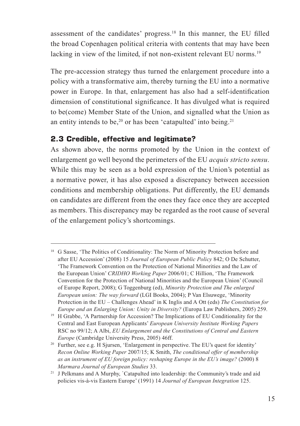assessment of the candidates' progress.18 In this manner, the EU filled the broad Copenhagen political criteria with contents that may have been lacking in view of the limited, if not non-existent relevant EU norms.<sup>19</sup>

The pre-accession strategy thus turned the enlargement procedure into a policy with a transformative aim, thereby turning the EU into a normative power in Europe. In that, enlargement has also had a self-identification dimension of constitutional significance. It has divulged what is required to be(come) Member State of the Union, and signalled what the Union as an entity intends to be, $20$  or has been 'catapulted' into being. $21$ 

## **2.3 Credible, effective and legitimate?**

As shown above, the norms promoted by the Union in the context of enlargement go well beyond the perimeters of the EU *acquis stricto sensu*. While this may be seen as a bold expression of the Union's potential as a normative power, it has also exposed a discrepancy between accession conditions and membership obligations. Put differently, the EU demands on candidates are different from the ones they face once they are accepted as members. This discrepancy may be regarded as the root cause of several of the enlargement policy's shortcomings.

<sup>&</sup>lt;sup>18</sup> G Sasse, 'The Politics of Conditionality: The Norm of Minority Protection before and after EU Accession' (2008) 15 *Journal of European Public Policy* 842; O De Schutter, 'The Framework Convention on the Protection of National Minorities and the Law of the European Union' *CRIDHO Working Paper* 2006/01; C Hillion, 'The Framework Convention for the Protection of National Minorities and the European Union' (Council of Europe Report, 2008); G Toggenburg (ed), *Minority Protection and The enlarged European union: The way forward* (LGI Books, 2004); P Van Elsuwege, 'Minority Protection in the EU – Challenges Ahead' in K Inglis and A Ott (eds) *The Constitution for Europe and an Enlarging Union: Unity in Diversity?* (Europa Law Publishers, 2005) 259.

<sup>&</sup>lt;sup>19</sup> H Grabbe, 'A Partnership for Accession? The Implications of EU Conditionality for the Central and East European Applicants' *European University Institute Working Papers* RSC no 99/12; A Albi, *EU Enlargement and the Constitutions of Central and Eastern Europe* (Cambridge University Press, 2005) 46ff.

<sup>&</sup>lt;sup>20</sup> Further, see e.g. H Sjursen, 'Enlargement in perspective. The EU's quest for identity' *Recon Online Working Paper* 2007/15; K Smith, *The conditional offer of membership as an instrument of EU foreign policy: reshaping Europe in the EU's image?* (2000) 8 *Marmara Journal of European Studies* 33.

<sup>&</sup>lt;sup>21</sup> J Pelkmans and A Murphy, `Catapulted into leadership: the Community's trade and aid policies vis-à-vis Eastern Europe' (1991) 14 *Journal of European Integration* 125.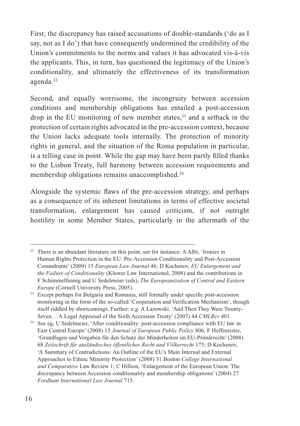First, the discrepancy has raised accusations of double-standards ('do as I say, not as I do') that have consequently undermined the credibility of the Union's commitments to the norms and values it has advocated vis-à-vis the applicants. This, in turn, has questioned the legitimacy of the Union's conditionality, and ultimately the effectiveness of its transformation agenda.<sup>22</sup>

Second, and equally worrisome, the incongruity between accession conditions and membership obligations has entailed a post-accession drop in the EU monitoring of new member states, $2<sup>3</sup>$  and a setback in the protection of certain rights advocated in the pre-accession context, because the Union lacks adequate tools internally. The protection of minority rights in general, and the situation of the Roma population in particular, is a telling case in point. While the gap may have been partly filled thanks to the Lisbon Treaty, full harmony between accession requirements and membership obligations remains unaccomplished.<sup>24</sup>

Alongside the systemic flaws of the pre-accession strategy, and perhaps as a consequence of its inherent limitations in terms of effective societal transformation, enlargement has caused criticism, if not outright hostility in some Member States, particularly in the aftermath of the

<sup>&</sup>lt;sup>22</sup> There is an abundant literature on this point, see for instance: A Albi, 'Ironies in Human Rights Protection in the EU: Pre-Accession Conditionality and Post-Accession Conundrums' (2009) 15 *European Law Journal* 46; D Kochenov, *EU Enlargement and the Failure of Conditionality* (Kluwer Law International, 2008) and the contributions in F Schimmelfennig and U Sedelmeier (eds), *The Europeanization of Central and Eastern Europe* (Cornell University Press, 2005).

<sup>&</sup>lt;sup>23</sup> Except perhaps for Bulgaria and Romania, still formally under specific post-accession monitoring in the form of the so-called 'Cooperation and Verification Mechanism', though itself riddled by shortcomings. Further: e.g. A Łazowski, 'And Then They Were Twenty-Seven… A Legal Appraisal of the Sixth Accession Treaty' (2007) 44 *CMLRev* 401.

<sup>&</sup>lt;sup>24</sup> See eg, U Sedelmeier, 'After conditionality: post-accession compliance with EU law in East Central Europe' (2008) 15 *Journal of European Public Policy* 806; F Hoffmeister, 'Grundlagen und Vorgaben für den Schutz der Minderheiten im EU-Primärrecht' (2008) 68 *Zeitschrift für ausländisches öffentliches Recht und Völkerrecht* 175; D Kochenov, 'A Summary of Contradictions: An Outline of the EU's Main Internal and External Approaches to Ethnic Minority Protection' (2008) 31 Boston *College International and Comparative* Law Review 1; C Hillion, 'Enlargement of the European Union: The discrepancy between Accession conditionality and membership obligations' (2004) 27 *Fordham International Law Journal* 715.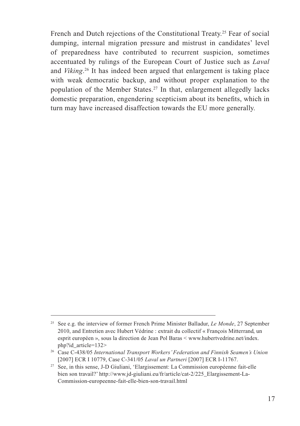French and Dutch rejections of the Constitutional Treaty.<sup>25</sup> Fear of social dumping, internal migration pressure and mistrust in candidates' level of preparedness have contributed to recurrent suspicion, sometimes accentuated by rulings of the European Court of Justice such as *Laval*  and *Viking*. 26 It has indeed been argued that enlargement is taking place with weak democratic backup, and without proper explanation to the population of the Member States.27 In that, enlargement allegedly lacks domestic preparation, engendering scepticism about its benefits, which in turn may have increased disaffection towards the EU more generally.

<sup>25</sup> See e.g. the interview of former French Prime Minister Balladur, *Le Monde*, 27 September 2010, and Entretien avec Hubert Védrine : extrait du collectif « François Mitterrand, un esprit européen », sous la direction de Jean Pol Baras < www.hubertvedrine.net/index. php?id\_article=132>

<sup>26</sup> Case C-438/05 *International Transport Workers' Federation and Finnish Seamen's Union* [2007] ECR I 10779, Case C-341/05 *Laval un Partneri* [2007] ECR I-11767.

<sup>27</sup> See, in this sense, J-D Giuliani, 'Elargissement: La Commission européenne fait-elle bien son travail?' http://www.jd-giuliani.eu/fr/article/cat-2/225\_Elargissement-La-Commission-europeenne-fait-elle-bien-son-travail.html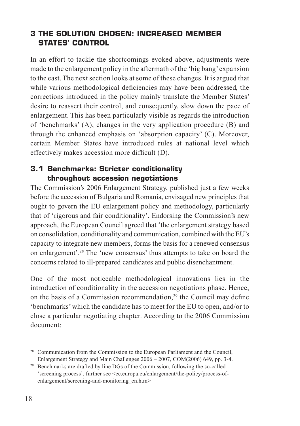## **3 THE SOLUTION CHOSEN: INCREASED MEMBER STATES' CONTROL**

In an effort to tackle the shortcomings evoked above, adjustments were made to the enlargement policy in the aftermath of the 'big bang' expansion to the east. The next section looks at some of these changes. It is argued that while various methodological deficiencies may have been addressed, the corrections introduced in the policy mainly translate the Member States' desire to reassert their control, and consequently, slow down the pace of enlargement. This has been particularly visible as regards the introduction of 'benchmarks' (A), changes in the very application procedure (B) and through the enhanced emphasis on 'absorption capacity' (C). Moreover, certain Member States have introduced rules at national level which effectively makes accession more difficult (D).

## **3.1 Benchmarks: Stricter conditionality throughout accession negotiations**

The Commission's 2006 Enlargement Strategy, published just a few weeks before the accession of Bulgaria and Romania, envisaged new principles that ought to govern the EU enlargement policy and methodology, particularly that of 'rigorous and fair conditionality'. Endorsing the Commission's new approach, the European Council agreed that 'the enlargement strategy based on consolidation, conditionality and communication, combined with the EU's capacity to integrate new members, forms the basis for a renewed consensus on enlargement'.28 The 'new consensus' thus attempts to take on board the concerns related to ill-prepared candidates and public disenchantment.

One of the most noticeable methodological innovations lies in the introduction of conditionality in the accession negotiations phase. Hence, on the basis of a Commission recommendation,29 the Council may define 'benchmarks' which the candidate has to meet for the EU to open, and/or to close a particular negotiating chapter. According to the 2006 Commission document:

<sup>&</sup>lt;sup>28</sup> Communication from the Commission to the European Parliament and the Council, Enlargement Strategy and Main Challenges 2006 – 2007, COM(2006) 649, pp. 3-4.

<sup>29</sup> Benchmarks are drafted by line DGs of the Commission, following the so-called 'screening process', further see <ec.europa.eu/enlargement/the-policy/process-ofenlargement/screening-and-monitoring en.htm>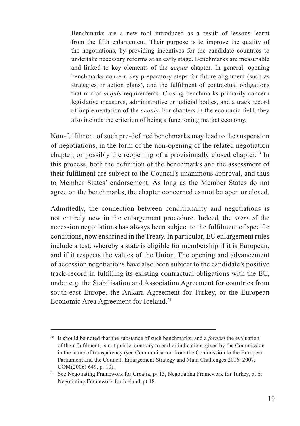Benchmarks are a new tool introduced as a result of lessons learnt from the fifth enlargement. Their purpose is to improve the quality of the negotiations, by providing incentives for the candidate countries to undertake necessary reforms at an early stage. Benchmarks are measurable and linked to key elements of the *acquis* chapter. In general, opening benchmarks concern key preparatory steps for future alignment (such as strategies or action plans), and the fulfilment of contractual obligations that mirror *acquis* requirements. Closing benchmarks primarily concern legislative measures, administrative or judicial bodies, and a track record of implementation of the *acquis*. For chapters in the economic field, they also include the criterion of being a functioning market economy.

Non-fulfilment of such pre-defined benchmarks may lead to the suspension of negotiations, in the form of the non-opening of the related negotiation chapter, or possibly the reopening of a provisionally closed chapter.30 In this process, both the definition of the benchmarks and the assessment of their fulfilment are subject to the Council's unanimous approval, and thus to Member States' endorsement. As long as the Member States do not agree on the benchmarks, the chapter concerned cannot be open or closed.

Admittedly, the connection between conditionality and negotiations is not entirely new in the enlargement procedure. Indeed, the *start* of the accession negotiations has always been subject to the fulfilment of specific conditions, now enshrined in the Treaty. In particular, EU enlargement rules include a test, whereby a state is eligible for membership if it is European, and if it respects the values of the Union. The opening and advancement of accession negotiations have also been subject to the candidate's positive track-record in fulfilling its existing contractual obligations with the EU, under e.g. the Stabilisation and Association Agreement for countries from south-east Europe, the Ankara Agreement for Turkey, or the European Economic Area Agreement for Iceland.<sup>31</sup>

<sup>30</sup> It should be noted that the substance of such benchmarks, and a *fortiori* the evaluation of their fulfilment, is not public, contrary to earlier indications given by the Commission in the name of transparency (see Communication from the Commission to the European Parliament and the Council, Enlargement Strategy and Main Challenges 2006–2007, COM(2006) 649, p. 10).

<sup>&</sup>lt;sup>31</sup> See Negotiating Framework for Croatia, pt 13, Negotiating Framework for Turkey, pt 6; Negotiating Framework for Iceland, pt 18.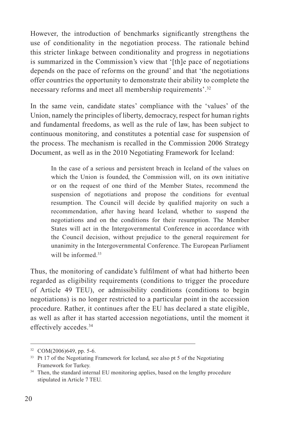However, the introduction of benchmarks significantly strengthens the use of conditionality in the negotiation process. The rationale behind this stricter linkage between conditionality and progress in negotiations is summarized in the Commission's view that '[th]e pace of negotiations depends on the pace of reforms on the ground' and that 'the negotiations offer countries the opportunity to demonstrate their ability to complete the necessary reforms and meet all membership requirements'.32

In the same vein, candidate states' compliance with the 'values' of the Union, namely the principles of liberty, democracy, respect for human rights and fundamental freedoms, as well as the rule of law, has been subject to continuous monitoring, and constitutes a potential case for suspension of the process. The mechanism is recalled in the Commission 2006 Strategy Document, as well as in the 2010 Negotiating Framework for Iceland:

 In the case of a serious and persistent breach in Iceland of the values on which the Union is founded, the Commission will, on its own initiative or on the request of one third of the Member States, recommend the suspension of negotiations and propose the conditions for eventual resumption. The Council will decide by qualified majority on such a recommendation, after having heard Iceland, whether to suspend the negotiations and on the conditions for their resumption. The Member States will act in the Intergovernmental Conference in accordance with the Council decision, without prejudice to the general requirement for unanimity in the Intergovernmental Conference. The European Parliament will be informed<sup>33</sup>

Thus, the monitoring of candidate's fulfilment of what had hitherto been regarded as eligibility requirements (conditions to trigger the procedure of Article 49 TEU), or admissibility conditions (conditions to begin negotiations) is no longer restricted to a particular point in the accession procedure. Rather, it continues after the EU has declared a state eligible, as well as after it has started accession negotiations, until the moment it effectively accedes.34

 $32$  COM(2006)649, pp. 5-6.

<sup>&</sup>lt;sup>33</sup> Pt 17 of the Negotiating Framework for Iceland, see also pt 5 of the Negotiating Framework for Turkey.<br><sup>34</sup> Then, the standard internal EU monitoring applies, based on the lengthy procedure

stipulated in Article 7 TEU.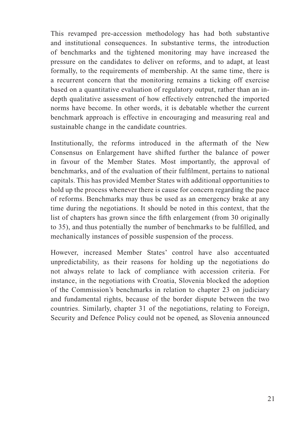This revamped pre-accession methodology has had both substantive and institutional consequences. In substantive terms, the introduction of benchmarks and the tightened monitoring may have increased the pressure on the candidates to deliver on reforms, and to adapt, at least formally, to the requirements of membership. At the same time, there is a recurrent concern that the monitoring remains a ticking off exercise based on a quantitative evaluation of regulatory output, rather than an indepth qualitative assessment of how effectively entrenched the imported norms have become. In other words, it is debatable whether the current benchmark approach is effective in encouraging and measuring real and sustainable change in the candidate countries.

Institutionally, the reforms introduced in the aftermath of the New Consensus on Enlargement have shifted further the balance of power in favour of the Member States. Most importantly, the approval of benchmarks, and of the evaluation of their fulfilment, pertains to national capitals. This has provided Member States with additional opportunities to hold up the process whenever there is cause for concern regarding the pace of reforms. Benchmarks may thus be used as an emergency brake at any time during the negotiations. It should be noted in this context, that the list of chapters has grown since the fifth enlargement (from 30 originally to 35), and thus potentially the number of benchmarks to be fulfilled, and mechanically instances of possible suspension of the process.

However, increased Member States' control have also accentuated unpredictability, as their reasons for holding up the negotiations do not always relate to lack of compliance with accession criteria. For instance, in the negotiations with Croatia, Slovenia blocked the adoption of the Commission's benchmarks in relation to chapter 23 on judiciary and fundamental rights, because of the border dispute between the two countries. Similarly, chapter 31 of the negotiations, relating to Foreign, Security and Defence Policy could not be opened, as Slovenia announced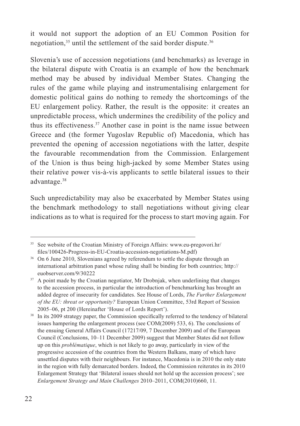it would not support the adoption of an EU Common Position for negotiation,<sup>35</sup> until the settlement of the said border dispute.<sup>36</sup>

Slovenia's use of accession negotiations (and benchmarks) as leverage in the bilateral dispute with Croatia is an example of how the benchmark method may be abused by individual Member States. Changing the rules of the game while playing and instrumentalising enlargement for domestic political gains do nothing to remedy the shortcomings of the EU enlargement policy. Rather, the result is the opposite: it creates an unpredictable process, which undermines the credibility of the policy and thus its effectiveness.37 Another case in point is the name issue between Greece and (the former Yugoslav Republic of) Macedonia, which has prevented the opening of accession negotiations with the latter, despite the favourable recommendation from the Commission. Enlargement of the Union is thus being high-jacked by some Member States using their relative power vis-à-vis applicants to settle bilateral issues to their advantage.38

Such unpredictability may also be exacerbated by Member States using the benchmark methodology to stall negotiations without giving clear indications as to what is required for the process to start moving again. For

<sup>35</sup> See website of the Croatian Ministry of Foreign Affairs: www.eu-pregovori.hr/

files/100426-Progress-in-EU-Croatia-accession-negotiations-M.pdf)<br><sup>36</sup> On 6 June 2010, Slovenians agreed by referendum to settle the dispute through an international arbitration panel whose ruling shall be binding for both countries; http:// euobserver.com/9/30222 37 A point made by the Croatian negotiator, Mr Drobnjak, when underlining that changes

to the accession process, in particular the introduction of benchmarking has brought an added degree of insecurity for candidates. See House of Lords, *The Further Enlargement of the EU: threat or opportunity?* European Union Committee, 53rd Report of Session 2005–06, pt 200 (Hereinafter 'House of Lords Report').

In its 2009 strategy paper, the Commission specifically referred to the tendency of bilateral issues hampering the enlargement process (see COM(2009) 533, 6). The conclusions of the ensuing General Affairs Council (17217/09, 7 December 2009) and of the European Council (Conclusions, 10–11 December 2009) suggest that Member States did not follow up on this *problématique*, which is not likely to go away, particularly in view of the progressive accession of the countries from the Western Balkans, many of which have unsettled disputes with their neighbours. For instance, Macedonia is in 2010 the only state in the region with fully demarcated borders. Indeed, the Commission reiterates in its 2010 Enlargement Strategy that 'Bilateral issues should not hold up the accession process'; see *Enlargement Strategy and Main Challenges* 2010–2011, COM(2010)660, 11.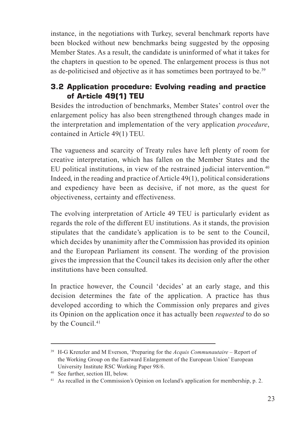instance, in the negotiations with Turkey, several benchmark reports have been blocked without new benchmarks being suggested by the opposing Member States. As a result, the candidate is uninformed of what it takes for the chapters in question to be opened. The enlargement process is thus not as de-politicised and objective as it has sometimes been portrayed to be.<sup>39</sup>

## **3.2 Application procedure: Evolving reading and practice of Article 49(1) TEU**

Besides the introduction of benchmarks, Member States' control over the enlargement policy has also been strengthened through changes made in the interpretation and implementation of the very application *procedure*, contained in Article 49(1) TEU.

The vagueness and scarcity of Treaty rules have left plenty of room for creative interpretation, which has fallen on the Member States and the EU political institutions, in view of the restrained judicial intervention.<sup>40</sup> Indeed, in the reading and practice of Article 49(1), political considerations and expediency have been as decisive, if not more, as the quest for objectiveness, certainty and effectiveness.

The evolving interpretation of Article 49 TEU is particularly evident as regards the role of the different EU institutions. As it stands, the provision stipulates that the candidate's application is to be sent to the Council, which decides by unanimity after the Commission has provided its opinion and the European Parliament its consent. The wording of the provision gives the impression that the Council takes its decision only after the other institutions have been consulted.

In practice however, the Council 'decides' at an early stage, and this decision determines the fate of the application. A practice has thus developed according to which the Commission only prepares and gives its Opinion on the application once it has actually been *requested* to do so by the Council.<sup>41</sup>

<sup>39</sup> H-G Krenzler and M Everson, 'Preparing for the *Acquis Communautaire* – Report of the Working Group on the Eastward Enlargement of the European Union' European University Institute RSC Working Paper 98/6.

<sup>40</sup> See further, section III, below.

<sup>41</sup> As recalled in the Commission's Opinion on Iceland's application for membership, p. 2.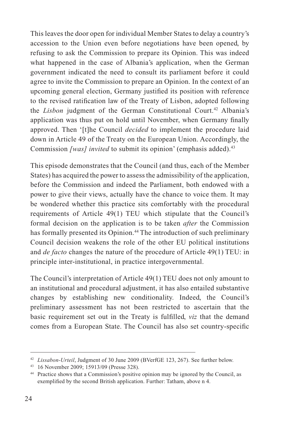This leaves the door open for individual Member States to delay a country's accession to the Union even before negotiations have been opened, by refusing to ask the Commission to prepare its Opinion. This was indeed what happened in the case of Albania's application, when the German government indicated the need to consult its parliament before it could agree to invite the Commission to prepare an Opinion. In the context of an upcoming general election, Germany justified its position with reference to the revised ratification law of the Treaty of Lisbon, adopted following the *Lisbon* judgment of the German Constitutional Court.<sup>42</sup> Albania's application was thus put on hold until November, when Germany finally approved. Then '[t]he Council *decided* to implement the procedure laid down in Article 49 of the Treaty on the European Union. Accordingly, the Commission *[was] invited* to submit its opinion' (emphasis added).<sup>43</sup>

This episode demonstrates that the Council (and thus, each of the Member States) has acquired the power to assess the admissibility of the application, before the Commission and indeed the Parliament, both endowed with a power to give their views, actually have the chance to voice them. It may be wondered whether this practice sits comfortably with the procedural requirements of Article 49(1) TEU which stipulate that the Council's formal decision on the application is to be taken *after* the Commission has formally presented its Opinion.<sup>44</sup> The introduction of such preliminary Council decision weakens the role of the other EU political institutions and *de facto* changes the nature of the procedure of Article 49(1) TEU: in principle inter-institutional, in practice intergovernmental.

The Council's interpretation of Article 49(1) TEU does not only amount to an institutional and procedural adjustment, it has also entailed substantive changes by establishing new conditionality. Indeed, the Council's preliminary assessment has not been restricted to ascertain that the basic requirement set out in the Treaty is fulfilled, *viz* that the demand comes from a European State. The Council has also set country-specific

<sup>42</sup> *Lissabon-Urteil*, Judgment of 30 June 2009 (BVerfGE 123, 267). See further below.

<sup>&</sup>lt;sup>43</sup> 16 November 2009; 15913/09 (Presse 328).<br><sup>44</sup> Practice shows that a Commission's positive opinion may be ignored by the Council, as exemplified by the second British application. Further: Tatham, above n 4.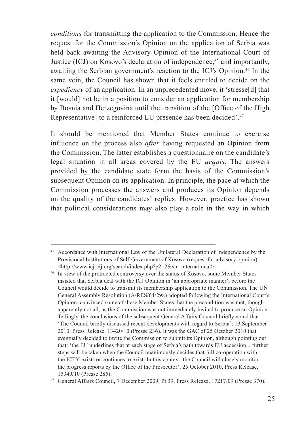*conditions* for transmitting the application to the Commission. Hence the request for the Commission's Opinion on the application of Serbia was held back awaiting the Advisory Opinion of the International Court of Justice (ICJ) on Kosovo's declaration of independence,<sup>45</sup> and importantly, awaiting the Serbian government's reaction to the ICJ's Opinion.46 In the same vein, the Council has shown that it feels entitled to decide on the *expediency* of an application. In an unprecedented move, it 'stresse<sup>[d]</sup> that it [would] not be in a position to consider an application for membership by Bosnia and Herzegovina until the transition of the [Office of the High Representative] to a reinforced EU presence has been decided'.47

It should be mentioned that Member States continue to exercise influence on the process also *after* having requested an Opinion from the Commission. The latter establishes a questionnaire on the candidate's legal situation in all areas covered by the EU *acquis*. The answers provided by the candidate state form the basis of the Commission's subsequent Opinion on its application. In principle, the pace at which the Commission processes the answers and produces its Opinion depends on the quality of the candidates' replies. However, practice has shown that political considerations may also play a role in the way in which

<sup>45</sup> Accordance with International Law of the Unilateral Declaration of Independence by the Provisional Institutions of Self-Government of Kosovo (request for advisory opinion)

 $\text{http://www.icj-ci.org/search/index.php?p2=2&str=international> 46 In view of the protracted controversy over the status of Kosovo, some Member States$ insisted that Serbia deal with the ICJ Opinion in 'an appropriate manner', before the Council would decide to transmit its membership application to the Commission. The UN General Assembly Resolution (A/RES/64/298) adopted following the International Court's Opinion, convinced some of these Member States that the precondition was met, though apparently not all, as the Commission was not immediately invited to produce an Opinion. Tellingly, the conclusions of the subsequent General Affairs Council briefly noted that 'The Council briefly discussed recent developments with regard to Serbia'; 13 September 2010, Press Release, 13420/10 (Presse 236). It was the GAC of 25 October 2010 that eventually decided to invite the Commission to submit its Opinion, although pointing out that: 'the EU underlines that at each stage of Serbia's path towards EU accession... further steps will be taken when the Council unanimously decides that full co-operation with the ICTY exists or continues to exist. In this context, the Council will closely monitor the progress reports by the Office of the Prosecutor'; 25 October 2010, Press Release, 15349/10 (Presse 285).

<sup>47</sup> General Affairs Council, 7 December 2009, Pt 39, Press Release, 17217/09 (Presse 370).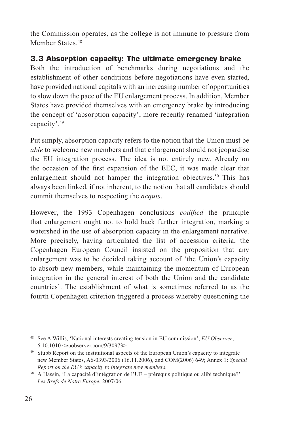the Commission operates, as the college is not immune to pressure from Member States.<sup>48</sup>

## **3.3 Absorption capacity: The ultimate emergency brake**

Both the introduction of benchmarks during negotiations and the establishment of other conditions before negotiations have even started, have provided national capitals with an increasing number of opportunities to slow down the pace of the EU enlargement process. In addition, Member States have provided themselves with an emergency brake by introducing the concept of 'absorption capacity', more recently renamed 'integration capacity'.49

Put simply, absorption capacity refers to the notion that the Union must be *able* to welcome new members and that enlargement should not jeopardise the EU integration process. The idea is not entirely new. Already on the occasion of the first expansion of the EEC, it was made clear that enlargement should not hamper the integration objectives.<sup>50</sup> This has always been linked, if not inherent, to the notion that all candidates should commit themselves to respecting the *acquis*.

However, the 1993 Copenhagen conclusions *codified* the principle that enlargement ought not to hold back further integration, marking a watershed in the use of absorption capacity in the enlargement narrative. More precisely, having articulated the list of accession criteria, the Copenhagen European Council insisted on the proposition that any enlargement was to be decided taking account of 'the Union's capacity to absorb new members, while maintaining the momentum of European integration in the general interest of both the Union and the candidate countries'. The establishment of what is sometimes referred to as the fourth Copenhagen criterion triggered a process whereby questioning the

<sup>48</sup> See A Willis, 'National interests creating tension in EU commission', *EU Observer*, 6.10.1010 <euobserver.com/9/30973>

<sup>49</sup> Stubb Report on the institutional aspects of the European Union's capacity to integrate new Member States, A6-0393/2006 (16.11.2006), and COM(2006) 649; Annex 1: *Special Report on the EU's capacity to integrate new members.*

<sup>50</sup> A Hassin, 'La capacité d'intégration de l'UE – prérequis politique ou alibi technique?' *Les Brefs de Notre Europe*, 2007/06.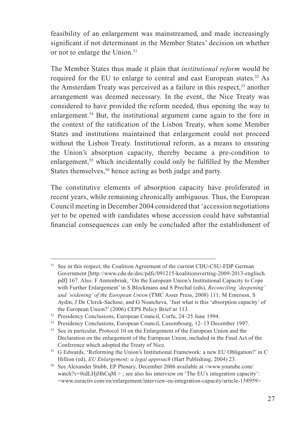feasibility of an enlargement was mainstreamed, and made increasingly significant if not determinant in the Member States' decision on whether or not to enlarge the Union.<sup>51</sup>

The Member States thus made it plain that *institutional reform* would be required for the EU to enlarge to central and east European states.<sup>52</sup> As the Amsterdam Treaty was perceived as a failure in this respect,<sup>53</sup> another arrangement was deemed necessary. In the event, the Nice Treaty was considered to have provided the reform needed, thus opening the way to enlargement.54 But, the institutional argument came again to the fore in the context of the ratification of the Lisbon Treaty, when some Member States and institutions maintained that enlargement could not proceed without the Lisbon Treaty. Institutional reform, as a means to ensuring the Union's absorption capacity, thereby became a pre-condition to enlargement,<sup>55</sup> which incidentally could only be fulfilled by the Member States themselves,<sup>56</sup> hence acting as both judge and party.

The constitutive elements of absorption capacity have proliferated in recent years, while remaining chronically ambiguous. Thus, the European Council meeting in December 2004 considered that 'accession negotiations yet to be opened with candidates whose accession could have substantial financial consequences can only be concluded after the establishment of

<sup>&</sup>lt;sup>51</sup> See in this respect, the Coalition Agreement of the current CDU-CSU-FDP German Government [http://www.cdu.de/doc/pdfc/091215-koalitionsvertrag-2009-2013-englisch. pdf] 167. Also: F Amtenbrink, 'On the European Union's Institutional Capacity to Cope with Further Enlargement' in S Blockmans and S Prechal (eds), *Reconciling 'deepening' and 'widening' of the European Union* (TMC Asser Press, 2008) 111; M Emerson, S Aydin, J De Clerck-Sachsse, and G Noutcheva, 'Just what is this 'absorption capacity' of the European Union?' (2006) CEPS Policy Brief nr 113.

<sup>52</sup> Presidency Conclusions, European Council, Corfu, 24–25 June 1994.

<sup>53</sup> Presidency Conclusions, European Council, Luxembourg, 12–13 December 1997.

<sup>54</sup> See in particular, Protocol 10 on the Enlargement of the European Union and the Declaration on the enlargement of the European Union, included in the Final Act of the Conference which adopted the Treaty of Nice. 55 G Edwards, 'Reforming the Union's Institutional Framework: a new EU Obligation?' in C

Hillion (ed), *EU Enlargement: a legal approach* (Hart Publishing, 2004) 23.

<sup>56</sup> See Alexander Stubb, EP Plenary, December 2006 available at <www.youtube.com/ watch?v=0idLHjHhCqM  $>$ ; see also his interview on 'The EU's integration capacity':  $\leq$ www.euractiv.com/en/enlargement/interview-eu-integration-capacity/article-158959>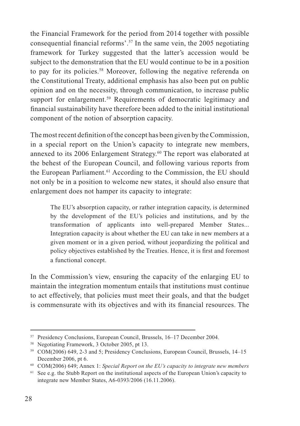the Financial Framework for the period from 2014 together with possible consequential financial reforms'.57 In the same vein, the 2005 negotiating framework for Turkey suggested that the latter's accession would be subject to the demonstration that the EU would continue to be in a position to pay for its policies.58 Moreover, following the negative referenda on the Constitutional Treaty, additional emphasis has also been put on public opinion and on the necessity, through communication, to increase public support for enlargement.<sup>59</sup> Requirements of democratic legitimacy and financial sustainability have therefore been added to the initial institutional component of the notion of absorption capacity.

The most recent definition of the concept has been given by the Commission, in a special report on the Union's capacity to integrate new members, annexed to its 2006 Enlargement Strategy.<sup>60</sup> The report was elaborated at the behest of the European Council, and following various reports from the European Parliament.<sup>61</sup> According to the Commission, the EU should not only be in a position to welcome new states, it should also ensure that enlargement does not hamper its capacity to integrate:

 The EU's absorption capacity, or rather integration capacity, is determined by the development of the EU's policies and institutions, and by the transformation of applicants into well-prepared Member States... Integration capacity is about whether the EU can take in new members at a given moment or in a given period, without jeopardizing the political and policy objectives established by the Treaties. Hence, it is first and foremost a functional concept.

In the Commission's view, ensuring the capacity of the enlarging EU to maintain the integration momentum entails that institutions must continue to act effectively, that policies must meet their goals, and that the budget is commensurate with its objectives and with its financial resources. The

<sup>57</sup> Presidency Conclusions, European Council, Brussels, 16–17 December 2004.

<sup>58</sup> Negotiating Framework, 3 October 2005, pt 13.

<sup>59</sup> COM(2006) 649, 2-3 and 5; Presidency Conclusions, European Council, Brussels, 14–15 December 2006, pt 6.

<sup>60</sup> COM(2006) 649; Annex 1: *Special Report on the EU's capacity to integrate new members*

 $61$  See e.g. the Stubb Report on the institutional aspects of the European Union's capacity to integrate new Member States, A6-0393/2006 (16.11.2006).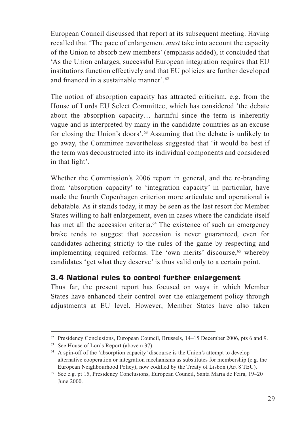European Council discussed that report at its subsequent meeting. Having recalled that 'The pace of enlargement *must* take into account the capacity of the Union to absorb new members' (emphasis added), it concluded that 'As the Union enlarges, successful European integration requires that EU institutions function effectively and that EU policies are further developed and financed in a sustainable manner'.<sup>62</sup>

The notion of absorption capacity has attracted criticism, e.g. from the House of Lords EU Select Committee, which has considered 'the debate about the absorption capacity… harmful since the term is inherently vague and is interpreted by many in the candidate countries as an excuse for closing the Union's doors'.63 Assuming that the debate is unlikely to go away, the Committee nevertheless suggested that 'it would be best if the term was deconstructed into its individual components and considered in that light'.

Whether the Commission's 2006 report in general, and the re-branding from 'absorption capacity' to 'integration capacity' in particular, have made the fourth Copenhagen criterion more articulate and operational is debatable. As it stands today, it may be seen as the last resort for Member States willing to halt enlargement, even in cases where the candidate itself has met all the accession criteria.<sup>64</sup> The existence of such an emergency brake tends to suggest that accession is never guaranteed, even for candidates adhering strictly to the rules of the game by respecting and implementing required reforms. The 'own merits' discourse,<sup>65</sup> whereby candidates 'get what they deserve' is thus valid only to a certain point.

#### **3.4 National rules to control further enlargement**

Thus far, the present report has focused on ways in which Member States have enhanced their control over the enlargement policy through adjustments at EU level. However, Member States have also taken

 $62$  Presidency Conclusions, European Council, Brussels,  $14-15$  December 2006, pts 6 and 9.

<sup>63</sup> See House of Lords Report (above n 37).

<sup>&</sup>lt;sup>64</sup> A spin-off of the 'absorption capacity' discourse is the Union's attempt to develop alternative cooperation or integration mechanisms as substitutes for membership (e.g. the European Neighbourhood Policy), now codified by the Treaty of Lisbon (Art 8 TEU). 65 See e.g. pt 15, Presidency Conclusions, European Council, Santa Maria de Feira, 19–20

June 2000.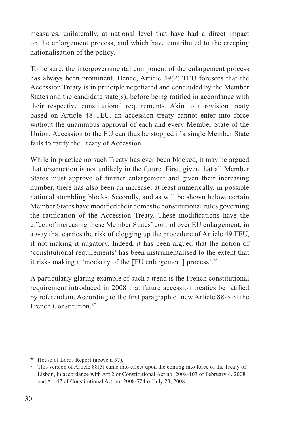measures, unilaterally, at national level that have had a direct impact on the enlargement process, and which have contributed to the creeping nationalisation of the policy.

To be sure, the intergovernmental component of the enlargement process has always been prominent. Hence, Article 49(2) TEU foresees that the Accession Treaty is in principle negotiated and concluded by the Member States and the candidate state(s), before being ratified in accordance with their respective constitutional requirements. Akin to a revision treaty based on Article 48 TEU, an accession treaty cannot enter into force without the unanimous approval of each and every Member State of the Union. Accession to the EU can thus be stopped if a single Member State fails to ratify the Treaty of Accession.

While in practice no such Treaty has ever been blocked, it may be argued that obstruction is not unlikely in the future. First, given that all Member States must approve of further enlargement and given their increasing number, there has also been an increase, at least numerically, in possible national stumbling blocks. Secondly, and as will be shown below, certain Member States have modified their domestic constitutional rules governing the ratification of the Accession Treaty. These modifications have the effect of increasing these Member States' control over EU enlargement, in a way that carries the risk of clogging up the procedure of Article 49 TEU, if not making it nugatory. Indeed, it has been argued that the notion of 'constitutional requirements' has been instrumentalised to the extent that it risks making a 'mockery of the [EU enlargement] process'.66

A particularly glaring example of such a trend is the French constitutional requirement introduced in 2008 that future accession treaties be ratified by referendum. According to the first paragraph of new Article 88-5 of the French Constitution.<sup>67</sup>

<sup>66</sup> House of Lords Report (above n 37).

 $67$  This version of Article 88(5) came into effect upon the coming into force of the Treaty of Lisbon, in accordance with Art 2 of Constitutional Act no. 2008-103 of February 4, 2008 and Art 47 of Constitutional Act no. 2008-724 of July 23, 2008.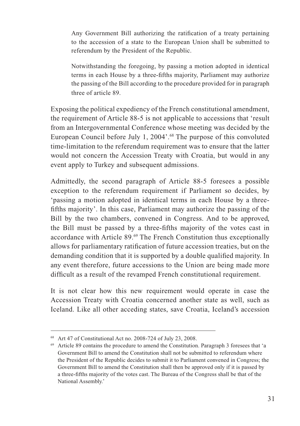Any Government Bill authorizing the ratification of a treaty pertaining to the accession of a state to the European Union shall be submitted to referendum by the President of the Republic.

 Notwithstanding the foregoing, by passing a motion adopted in identical terms in each House by a three-fifths majority, Parliament may authorize the passing of the Bill according to the procedure provided for in paragraph three of article 89.

Exposing the political expediency of the French constitutional amendment, the requirement of Article 88-5 is not applicable to accessions that 'result from an Intergovernmental Conference whose meeting was decided by the European Council before July 1, 2004'.<sup>68</sup> The purpose of this convoluted time-limitation to the referendum requirement was to ensure that the latter would not concern the Accession Treaty with Croatia, but would in any event apply to Turkey and subsequent admissions.

Admittedly, the second paragraph of Article 88-5 foresees a possible exception to the referendum requirement if Parliament so decides, by 'passing a motion adopted in identical terms in each House by a threefifths majority'. In this case, Parliament may authorize the passing of the Bill by the two chambers, convened in Congress. And to be approved, the Bill must be passed by a three-fifths majority of the votes cast in accordance with Article 89.69 The French Constitution thus exceptionally allows for parliamentary ratification of future accession treaties, but on the demanding condition that it is supported by a double qualified majority. In any event therefore, future accessions to the Union are being made more difficult as a result of the revamped French constitutional requirement.

It is not clear how this new requirement would operate in case the Accession Treaty with Croatia concerned another state as well, such as Iceland. Like all other acceding states, save Croatia, Iceland's accession

<sup>68</sup> Art 47 of Constitutional Act no. 2008-724 of July 23, 2008.

<sup>69</sup> Article 89 contains the procedure to amend the Constitution. Paragraph 3 foresees that 'a Government Bill to amend the Constitution shall not be submitted to referendum where the President of the Republic decides to submit it to Parliament convened in Congress; the Government Bill to amend the Constitution shall then be approved only if it is passed by a three-fifths majority of the votes cast. The Bureau of the Congress shall be that of the National Assembly.'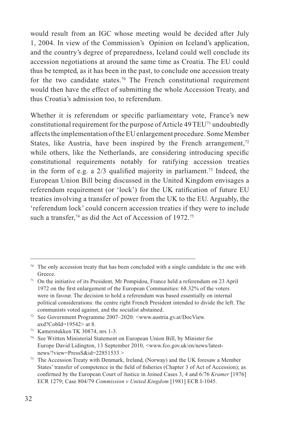would result from an IGC whose meeting would be decided after July 1, 2004. In view of the Commission's Opinion on Iceland's application, and the country's degree of preparedness, Iceland could well conclude its accession negotiations at around the same time as Croatia. The EU could thus be tempted, as it has been in the past, to conclude one accession treaty for the two candidate states.70 The French constitutional requirement would then have the effect of submitting the whole Accession Treaty, and thus Croatia's admission too, to referendum.

Whether it is referendum or specific parliamentary vote, France's new constitutional requirement for the purpose of Article 49 TEU71 undoubtedly affects the implementation of the EU enlargement procedure. Some Member States, like Austria, have been inspired by the French arrangement, $72$ while others, like the Netherlands, are considering introducing specific constitutional requirements notably for ratifying accession treaties in the form of e.g. a  $2/3$  qualified majority in parliament.<sup>73</sup> Indeed, the European Union Bill being discussed in the United Kingdom envisages a referendum requirement (or 'lock') for the UK ratification of future EU treaties involving a transfer of power from the UK to the EU. Arguably, the 'referendum lock' could concern accession treaties if they were to include such a transfer,<sup>74</sup> as did the Act of Accession of  $1972$ .<sup>75</sup>

 $70\degree$  The only accession treaty that has been concluded with a single candidate is the one with Greece.

<sup>71</sup> On the initiative of its President, Mr Pompidou, France held a referendum on 23 April 1972 on the first enlargement of the European Communities: 68.32% of the voters were in favour. The decision to hold a referendum was based essentially on internal political considerations: the centre right French President intended to divide the left. The communists voted against, and the socialist abstained.

<sup>72</sup> See Government Programme 2007–2020: <www.austria.gv.at/DocView. axd?CobId=19542> at 8.<br><sup>73</sup> Kamerstukken TK 30874, nrs 1-3.<br><sup>74</sup> See Written Ministerial Statement on European Union Bill, by Minister for

Europe David Lidington, 13 September 2010, <www.fco.gov.uk/en/news/latestnews/?view=PressS&id=22851533 >

<sup>75</sup> The Accession Treaty with Denmark, Ireland, (Norway) and the UK foresaw a Member States' transfer of competence in the field of fisheries (Chapter 3 of Act of Accession); as confirmed by the European Court of Justice in Joined Cases 3, 4 and 6/76 *Kramer* [1976] ECR 1279; Case 804/79 *Commission v United Kingdom* [1981] ECR I-1045.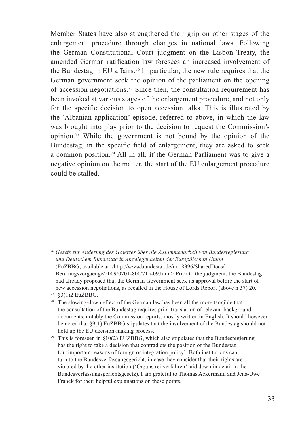Member States have also strengthened their grip on other stages of the enlargement procedure through changes in national laws. Following the German Constitutional Court judgment on the Lisbon Treaty, the amended German ratification law foresees an increased involvement of the Bundestag in EU affairs.76 In particular, the new rule requires that the German government seek the opinion of the parliament on the opening of accession negotiations.77 Since then, the consultation requirement has been invoked at various stages of the enlargement procedure, and not only for the specific decision to open accession talks. This is illustrated by the 'Albanian application' episode, referred to above, in which the law was brought into play prior to the decision to request the Commission's opinion.78 While the government is not bound by the opinion of the Bundestag, in the specific field of enlargement, they are asked to seek a common position.79 All in all, if the German Parliament was to give a negative opinion on the matter, the start of the EU enlargement procedure could be stalled.

<sup>76</sup> *Gezets zur Änderung des Gesetzes über die Zusammenarbeit von Bundesregierung und Deutschem Bundestag in Angelegenheiten der Europäischen Union* (EuZBBG; available at <http://www.bundesrat.de/nn\_8396/SharedDocs/ Beratungsvorgaenge/2009/0701-800/715-09.html> Prior to the judgment, the Bundestag had already proposed that the German Government seek its approval before the start of new accession negotiations, as recalled in the House of Lords Report (above n 37) 20.

<sup>77 §3(1)2</sup> EuZBBG.

<sup>&</sup>lt;sup>78</sup> The slowing-down effect of the German law has been all the more tangible that the consultation of the Bundestag requires prior translation of relevant background documents, notably the Commission reports, mostly written in English. It should however be noted that §9(1) EuZBBG stipulates that the involvement of the Bundestag should not hold up the EU decision-making process.

<sup>&</sup>lt;sup>79</sup> This is foreseen in  $\S10(2)$  EUZBBG, which also stipulates that the Bundesregierung has the right to take a decision that contradicts the position of the Bundestag for 'important reasons of foreign or integration policy'. Both institutions can turn to the Bundesverfassungsgericht, in case they consider that their rights are violated by the other institution ('Organstreitverfahren' laid down in detail in the Bundesverfassungsgerichtsgesetz). I am grateful to Thomas Ackermann and Jens-Uwe Franck for their helpful explanations on these points.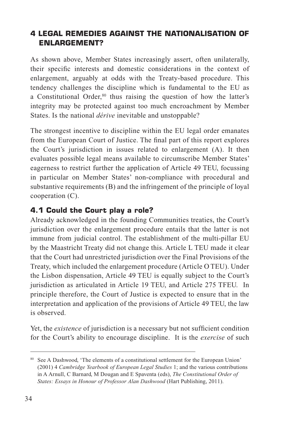## **4 LEGAL REMEDIES AGAINST THE NATIONALISATION OF ENLARGEMENT?**

As shown above, Member States increasingly assert, often unilaterally, their specific interests and domestic considerations in the context of enlargement, arguably at odds with the Treaty-based procedure. This tendency challenges the discipline which is fundamental to the EU as a Constitutional Order,<sup>80</sup> thus raising the question of how the latter's integrity may be protected against too much encroachment by Member States. Is the national *dérive* inevitable and unstoppable?

The strongest incentive to discipline within the EU legal order emanates from the European Court of Justice. The final part of this report explores the Court's jurisdiction in issues related to enlargement (A). It then evaluates possible legal means available to circumscribe Member States' eagerness to restrict further the application of Article 49 TEU, focussing in particular on Member States' non-compliance with procedural and substantive requirements (B) and the infringement of the principle of loyal cooperation (C).

## **4.1 Could the Court play a role?**

Already acknowledged in the founding Communities treaties, the Court's jurisdiction over the enlargement procedure entails that the latter is not immune from judicial control. The establishment of the multi-pillar EU by the Maastricht Treaty did not change this. Article L TEU made it clear that the Court had unrestricted jurisdiction over the Final Provisions of the Treaty, which included the enlargement procedure (Article O TEU). Under the Lisbon dispensation, Article 49 TEU is equally subject to the Court's jurisdiction as articulated in Article 19 TEU, and Article 275 TFEU. In principle therefore, the Court of Justice is expected to ensure that in the interpretation and application of the provisions of Article 49 TEU, the law is observed.

Yet, the *existence* of jurisdiction is a necessary but not sufficient condition for the Court's ability to encourage discipline. It is the *exercise* of such

<sup>80</sup> See A Dashwood, 'The elements of a constitutional settlement for the European Union' (2001) 4 *Cambridge Yearbook of European Legal Studies* 1; and the various contributions in A Arnull, C Barnard, M Dougan and E Spaventa (eds), *The Constitutional Order of States: Essays in Honour of Professor Alan Dashwood* (Hart Publishing, 2011).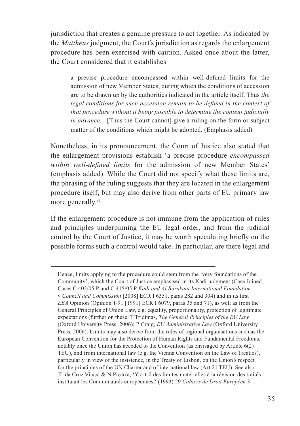jurisdiction that creates a genuine pressure to act together. As indicated by the *Mattheus* judgment, the Court's jurisdiction as regards the enlargement procedure has been exercised with caution. Asked once about the latter, the Court considered that it establishes

 a precise procedure encompassed within well-defined limits for the admission of new Member States, during which the conditions of accession are to be drawn up by the authorities indicated in the article itself. Thus *the legal conditions for such accession remain to be defined in the context of that procedure without it being possible to determine the content judicially in advance...* [Thus the Court cannot] give a ruling on the form or subject matter of the conditions which might be adopted. (Emphasis added)

Nonetheless, in its pronouncement, the Court of Justice also stated that the enlargement provisions establish 'a precise procedure *encompassed within well-defined limits* for the admission of new Member States' (emphasis added). While the Court did not specify what these limits are, the phrasing of the ruling suggests that they are located in the enlargement procedure itself, but may also derive from other parts of EU primary law more generally.<sup>81</sup>

If the enlargement procedure is not immune from the application of rules and principles underpinning the EU legal order, and from the judicial control by the Court of Justice, it may be worth speculating briefly on the possible forms such a control would take. In particular, are there legal and

<sup>&</sup>lt;sup>81</sup> Hence, limits applying to the procedure could stem from the 'very foundations of the Community', which the Court of Justice emphasised in its Kadi judgment (Case Joined Cases C 402/05 P and C 415/05 P *Kadi and Al Barakaat International Foundation* v *Council and Commission* [2008] ECR I 6351, paras 282 and 304) and in its first *EEA* Opinion (Opinion 1/91 [1991] ECR I 6079, paras 35 and 71), as well as from the General Principles of Union Law, e.g. equality, proportionality, protection of legitimate expectations (further on these: T Tridimas, *The General Principles of the EU Law* (Oxford University Press, 2006); P Craig, *EU Administrative Law* (Oxford University Press, 2006). Limits may also derive from the rules of regional organisations such as the European Convention for the Protection of Human Rights and Fundamental Freedoms, notably once the Union has acceded to the Convention (as envisaged by Article 6(2) TEU), and from international law (e.g. the Vienna Convention on the Law of Treaties), particularly in view of the insistence, in the Treaty of Lisbon, on the Union's respect for the principles of the UN Charter and of international law (Art 21 TEU). See also: JL da Cruz Vilaça & N Piçarra, 'Y a-t-il des limites matérielles à la révision des traités instituant les Communautés européennes?'(1993) 29 *Cahiers de Droit Européen* 3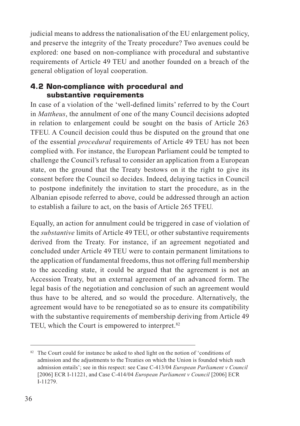judicial means to address the nationalisation of the EU enlargement policy, and preserve the integrity of the Treaty procedure? Two avenues could be explored: one based on non-compliance with procedural and substantive requirements of Article 49 TEU and another founded on a breach of the general obligation of loyal cooperation.

#### **4.2 Non-compliance with procedural and substantive requirements**

In case of a violation of the 'well-defined limits' referred to by the Court in *Mattheus*, the annulment of one of the many Council decisions adopted in relation to enlargement could be sought on the basis of Article 263 TFEU. A Council decision could thus be disputed on the ground that one of the essential *procedural* requirements of Article 49 TEU has not been complied with. For instance, the European Parliament could be tempted to challenge the Council's refusal to consider an application from a European state, on the ground that the Treaty bestows on it the right to give its consent before the Council so decides. Indeed, delaying tactics in Council to postpone indefinitely the invitation to start the procedure, as in the Albanian episode referred to above, could be addressed through an action to establish a failure to act, on the basis of Article 265 TFEU.

Equally, an action for annulment could be triggered in case of violation of the *substantive* limits of Article 49 TEU, or other substantive requirements derived from the Treaty. For instance, if an agreement negotiated and concluded under Article 49 TEU were to contain permanent limitations to the application of fundamental freedoms, thus not offering full membership to the acceding state, it could be argued that the agreement is not an Accession Treaty, but an external agreement of an advanced form. The legal basis of the negotiation and conclusion of such an agreement would thus have to be altered, and so would the procedure. Alternatively, the agreement would have to be renegotiated so as to ensure its compatibility with the substantive requirements of membership deriving from Article 49 TEU, which the Court is empowered to interpret.<sup>82</sup>

<sup>&</sup>lt;sup>82</sup> The Court could for instance be asked to shed light on the notion of 'conditions of admission and the adjustments to the Treaties on which the Union is founded which such admission entails'; see in this respect: see Case C-413/04 *European Parliament v Council* [2006] ECR I-11221, and Case C-414/04 *European Parliament v Council* [2006] ECR I-11279.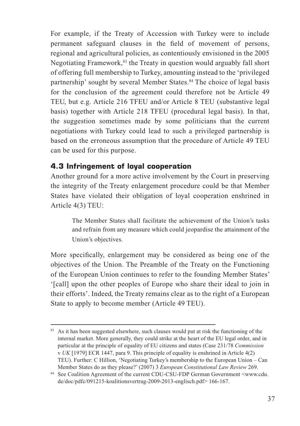For example, if the Treaty of Accession with Turkey were to include permanent safeguard clauses in the field of movement of persons, regional and agricultural policies, as contentiously envisioned in the 2005 Negotiating Framework,<sup>83</sup> the Treaty in question would arguably fall short of offering full membership to Turkey, amounting instead to the 'privileged partnership' sought by several Member States.<sup>84</sup> The choice of legal basis for the conclusion of the agreement could therefore not be Article 49 TEU, but e.g. Article 216 TFEU and/or Article 8 TEU (substantive legal basis) together with Article 218 TFEU (procedural legal basis). In that, the suggestion sometimes made by some politicians that the current negotiations with Turkey could lead to such a privileged partnership is based on the erroneous assumption that the procedure of Article 49 TEU can be used for this purpose.

#### **4.3 Infringement of loyal cooperation**

Another ground for a more active involvement by the Court in preserving the integrity of the Treaty enlargement procedure could be that Member States have violated their obligation of loyal cooperation enshrined in Article 4(3) TEU:

 The Member States shall facilitate the achievement of the Union's tasks and refrain from any measure which could jeopardise the attainment of the Union's objectives.

More specifically, enlargement may be considered as being one of the objectives of the Union. The Preamble of the Treaty on the Functioning of the European Union continues to refer to the founding Member States' '[call] upon the other peoples of Europe who share their ideal to join in their efforts'. Indeed, the Treaty remains clear as to the right of a European State to apply to become member (Article 49 TEU).

<sup>&</sup>lt;sup>83</sup> As it has been suggested elsewhere, such clauses would put at risk the functioning of the internal market. More generally, they could strike at the heart of the EU legal order, and in particular at the principle of equality of EU citizens and states (Case 231/78 *Commission*  v *UK* [1979] ECR 1447, para 9. This principle of equality is enshrined in Article 4(2) TEU). Further: C Hillion, 'Negotiating Turkey's membership to the European Union – Can Member States do as they please?' (2007) 3 *European Constitutional Law Review* 269.

<sup>84</sup> See Coalition Agreement of the current CDU-CSU-FDP German Government <www.cdu. de/doc/pdfc/091215-koalitionsvertrag-2009-2013-englisch.pdf> 166-167.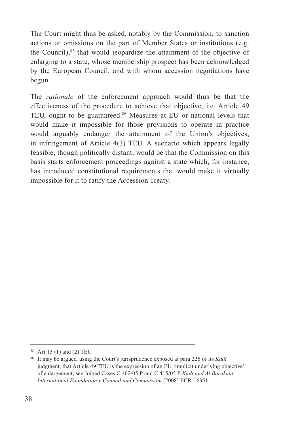The Court might thus be asked, notably by the Commission, to sanction actions or omissions on the part of Member States or institutions (e.g. the Council), $85$  that would jeopardize the attainment of the objective of enlarging to a state, whose membership prospect has been acknowledged by the European Council, and with whom accession negotiations have begun.

The *rationale* of the enforcement approach would thus be that the effectiveness of the procedure to achieve that objective, i.e. Article 49 TEU, ought to be guaranteed.<sup>86</sup> Measures at EU or national levels that would make it impossible for those provisions to operate in practice would arguably endanger the attainment of the Union's objectives, in infringement of Article 4(3) TEU. A scenario which appears legally feasible, though politically distant, would be that the Commission on this basis starts enforcement proceedings against a state which, for instance, has introduced constitutional requirements that would make it virtually impossible for it to ratify the Accession Treaty.

<sup>85</sup> Art 13 (1) and (2) TEU.

<sup>86</sup> It may be argued, using the Court's jurisprudence exposed at para 226 of its *Kadi*  judgment, that Article 49 TEU is the expression of an EU 'implicit underlying objective' of enlargement; see Joined Cases C 402/05 P and C 415/05 P *Kadi and Al Barakaat International Foundation v Council and Commission* [2008] ECR I 6351.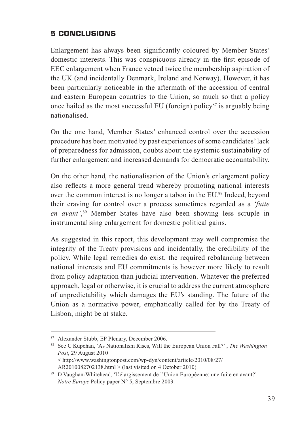## **5 CONCLUSIONS**

Enlargement has always been significantly coloured by Member States' domestic interests. This was conspicuous already in the first episode of EEC enlargement when France vetoed twice the membership aspiration of the UK (and incidentally Denmark, Ireland and Norway). However, it has been particularly noticeable in the aftermath of the accession of central and eastern European countries to the Union, so much so that a policy once hailed as the most successful EU (foreign) policy<sup>87</sup> is arguably being nationalised.

On the one hand, Member States' enhanced control over the accession procedure has been motivated by past experiences of some candidates' lack of preparedness for admission, doubts about the systemic sustainability of further enlargement and increased demands for democratic accountability.

On the other hand, the nationalisation of the Union's enlargement policy also reflects a more general trend whereby promoting national interests over the common interest is no longer a taboo in the EU.<sup>88</sup> Indeed, beyond their craving for control over a process sometimes regarded as a *'fuite en avant'*, 89 Member States have also been showing less scruple in instrumentalising enlargement for domestic political gains.

As suggested in this report, this development may well compromise the integrity of the Treaty provisions and incidentally, the credibility of the policy. While legal remedies do exist, the required rebalancing between national interests and EU commitments is however more likely to result from policy adaptation than judicial intervention. Whatever the preferred approach, legal or otherwise, it is crucial to address the current atmosphere of unpredictability which damages the EU's standing. The future of the Union as a normative power, emphatically called for by the Treaty of Lisbon, might be at stake.

<sup>87</sup> Alexander Stubb, EP Plenary, December 2006. 88 See C Kupchan, 'As Nationalism Rises, Will the European Union Fall?' , *The Washington Post*, 29 August 2010

 <sup>&</sup>lt; http://www.washingtonpost.com/wp-dyn/content/article/2010/08/27/ AR2010082702138.html > (last visited on 4 October 2010)

<sup>89</sup> D Vaughan-Whitehead, 'L'élargissement de l'Union Européenne: une fuite en avant?' *Notre Europe* Policy paper N° 5, Septembre 2003.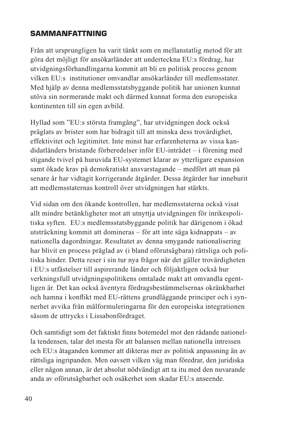## **SAMMANFATTNING**

Från att ursprungligen ha varit tänkt som en mellanstatlig metod för att göra det möjligt för ansökarländer att underteckna EU:s fördrag, har utvidgningsförhandlingarna kommit att bli en politisk process genom vilken EU:s institutioner omvandlar ansökarländer till medlemsstater. Med hjälp av denna medlemsstatsbyggande politik har unionen kunnat utöva sin normerande makt och därmed kunnat forma den europeiska kontinenten till sin egen avbild.

Hyllad som "EU:s största framgång", har utvidgningen dock också präglats av brister som har bidragit till att minska dess trovärdighet, effektivitet och legitimitet. Inte minst har erfarenheterna av vissa kandidatländers bristande förberedelser inför EU-inträdet – i förening med stigande tvivel på huruvida EU-systemet klarar av ytterligare expansion samt ökade krav på demokratiskt ansvarstagande – medfört att man på senare år har vidtagit korrigerande åtgärder. Dessa åtgärder har inneburit att medlemsstaternas kontroll över utvidgningen har stärkts.

Vid sidan om den ökande kontrollen, har medlemsstaterna också visat allt mindre betänkligheter mot att utnyttja utvidgningen för inrikespolitiska syften. EU:s medlemsstatsbyggande politik har därigenom i ökad utsträckning kommit att domineras – för att inte säga kidnappats – av nationella dagordningar. Resultatet av denna smygande nationalisering har blivit en process präglad av (i bland oförutsägbara) rättsliga och politiska hinder. Detta reser i sin tur nya frågor när det gäller trovärdigheten i EU:s utfästelser till aspirerande länder och följaktligen också hur verkningsfull utvidgningspolitikens omtalade makt att omvandla egentligen är. Det kan också äventyra fördragsbestämmelsernas okränkbarhet och hamna i konflikt med EU-rättens grundläggande principer och i synnerhet avvika från målformuleringarna för den europeiska integrationen såsom de uttrycks i Lissabonfördraget.

Och samtidigt som det faktiskt finns botemedel mot den rådande nationella tendensen, talar det mesta för att balansen mellan nationella intressen och EU:s åtaganden kommer att dikteras mer av politisk anpassning än av rättsliga ingripanden. Men oavsett vilken väg man föredrar, den juridiska eller någon annan, är det absolut nödvändigt att ta itu med den nuvarande anda av oförutsägbarhet och osäkerhet som skadar EU:s anseende.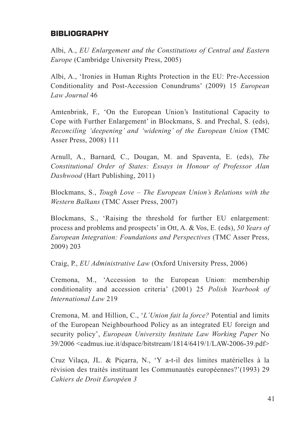#### **BIBLIOGRAPHY**

Albi, A., *EU Enlargement and the Constitutions of Central and Eastern Europe* (Cambridge University Press, 2005)

Albi, A., 'Ironies in Human Rights Protection in the EU: Pre-Accession Conditionality and Post-Accession Conundrums' (2009) 15 *European Law Journal* 46

Amtenbrink, F., 'On the European Union's Institutional Capacity to Cope with Further Enlargement' in Blockmans, S. and Prechal, S. (eds), *Reconciling 'deepening' and 'widening' of the European Union* (TMC Asser Press, 2008) 111

Arnull, A., Barnard, C., Dougan, M. and Spaventa, E. (eds), *The Constitutional Order of States: Essays in Honour of Professor Alan Dashwood* (Hart Publishing, 2011)

Blockmans, S., *Tough Love – The European Union's Relations with the Western Balkans* (TMC Asser Press, 2007)

Blockmans, S., 'Raising the threshold for further EU enlargement: process and problems and prospects' in Ott, A. & Vos, E. (eds), *50 Years of European Integration: Foundations and Perspectives* (TMC Asser Press, 2009) 203

Craig, P., *EU Administrative Law* (Oxford University Press, 2006)

Cremona, M., 'Accession to the European Union: membership conditionality and accession criteria' (2001) 25 *Polish Yearbook of International Law* 219

Cremona, M. and Hillion, C., '*L'Union fait la force?* Potential and limits of the European Neighbourhood Policy as an integrated EU foreign and security policy', *European University Institute Law Working Paper* No 39/2006 <cadmus.iue.it/dspace/bitstream/1814/6419/1/LAW-2006-39.pdf>

Cruz Vilaça, JL. & Piçarra, N., 'Y a-t-il des limites matérielles à la révision des traités instituant les Communautés européennes?'(1993) 29 *Cahiers de Droit Européen 3*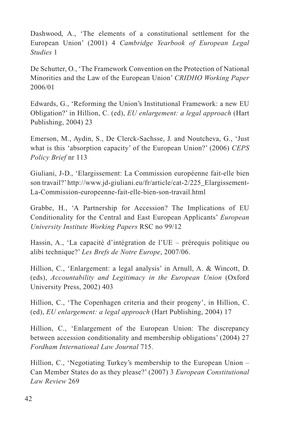Dashwood, A., 'The elements of a constitutional settlement for the European Union' (2001) 4 *Cambridge Yearbook of European Legal Studies* 1

De Schutter, O., 'The Framework Convention on the Protection of National Minorities and the Law of the European Union' *CRIDHO Working Paper* 2006/01

Edwards, G., 'Reforming the Union's Institutional Framework: a new EU Obligation?' in Hillion, C. (ed), *EU enlargement: a legal approach* (Hart Publishing, 2004) 23

Emerson, M., Aydin, S., De Clerck-Sachsse, J. and Noutcheva, G., 'Just what is this 'absorption capacity' of the European Union?' (2006) *CEPS Policy Brief* nr 113

Giuliani, J-D., 'Elargissement: La Commission européenne fait-elle bien son travail?' http://www.jd-giuliani.eu/fr/article/cat-2/225\_Elargissement-La-Commission-europeenne-fait-elle-bien-son-travail.html

Grabbe, H., 'A Partnership for Accession? The Implications of EU Conditionality for the Central and East European Applicants' *European University Institute Working Papers* RSC no 99/12

Hassin, A., 'La capacité d'intégration de l'UE – prérequis politique ou alibi technique?' *Les Brefs de Notre Europe*, 2007/06.

Hillion, C., 'Enlargement: a legal analysis' in Arnull, A. & Wincott, D. (eds), *Accountability and Legitimacy in the European Union* (Oxford University Press, 2002) 403

Hillion, C., 'The Copenhagen criteria and their progeny', in Hillion, C. (ed), *EU enlargement: a legal approach* (Hart Publishing, 2004) 17

Hillion, C., 'Enlargement of the European Union: The discrepancy between accession conditionality and membership obligations' (2004) 27 *Fordham International Law Journal* 715.

Hillion, C., 'Negotiating Turkey's membership to the European Union – Can Member States do as they please?' (2007) 3 *European Constitutional Law Review* 269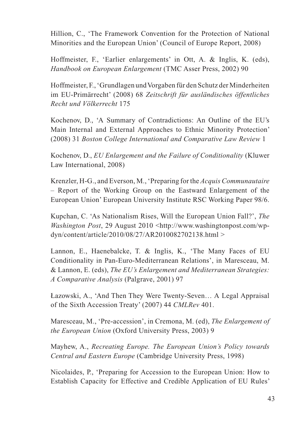Hillion, C., 'The Framework Convention for the Protection of National Minorities and the European Union' (Council of Europe Report, 2008)

Hoffmeister, F., 'Earlier enlargements' in Ott, A. & Inglis, K. (eds), *Handbook on European Enlargement* (TMC Asser Press, 2002) 90

Hoffmeister, F., 'Grundlagen und Vorgaben für den Schutz der Minderheiten im EU-Primärrecht' (2008) 68 *Zeitschrift für ausländisches öffentliches Recht und Völkerrecht* 175

Kochenov, D., 'A Summary of Contradictions: An Outline of the EU's Main Internal and External Approaches to Ethnic Minority Protection' (2008) 31 *Boston College International and Comparative Law Review* 1

Kochenov, D., *EU Enlargement and the Failure of Conditionality* (Kluwer Law International, 2008)

Krenzler, H-G., and Everson, M., 'Preparing for the *Acquis Communautaire* – Report of the Working Group on the Eastward Enlargement of the European Union' European University Institute RSC Working Paper 98/6.

Kupchan, C. 'As Nationalism Rises, Will the European Union Fall?', *The Washington Post*, 29 August 2010 <http://www.washingtonpost.com/wpdyn/content/article/2010/08/27/AR2010082702138.html >

Lannon, E., Haenebalcke, T. & Inglis, K., 'The Many Faces of EU Conditionality in Pan-Euro-Mediterranean Relations', in Maresceau, M. & Lannon, E. (eds), *The EU's Enlargement and Mediterranean Strategies: A Comparative Analysis* (Palgrave, 2001) 97

Łazowski, A., 'And Then They Were Twenty-Seven… A Legal Appraisal of the Sixth Accession Treaty' (2007) 44 *CMLRev* 401.

Maresceau, M., 'Pre-accession', in Cremona, M. (ed), *The Enlargement of the European Union* (Oxford University Press, 2003) 9

Mayhew, A., *Recreating Europe. The European Union's Policy towards Central and Eastern Europe* (Cambridge University Press, 1998)

Nicolaides, P., 'Preparing for Accession to the European Union: How to Establish Capacity for Effective and Credible Application of EU Rules'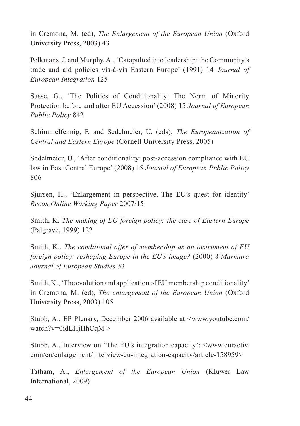in Cremona, M. (ed), *The Enlargement of the European Union* (Oxford University Press, 2003) 43

Pelkmans, J. and Murphy, A., `Catapulted into leadership: the Community's trade and aid policies vis-à-vis Eastern Europe' (1991) 14 *Journal of European Integration* 125

Sasse, G., 'The Politics of Conditionality: The Norm of Minority Protection before and after EU Accession' (2008) 15 *Journal of European Public Policy* 842

Schimmelfennig, F. and Sedelmeier, U. (eds), *The Europeanization of Central and Eastern Europe* (Cornell University Press, 2005)

Sedelmeier, U., 'After conditionality: post-accession compliance with EU law in East Central Europe' (2008) 15 *Journal of European Public Policy*  806

Sjursen, H., 'Enlargement in perspective. The EU's quest for identity' *Recon Online Working Paper* 2007/15

Smith, K. *The making of EU foreign policy: the case of Eastern Europe*  (Palgrave, 1999) 122

Smith, K., *The conditional offer of membership as an instrument of EU foreign policy: reshaping Europe in the EU's image?* (2000) 8 *Marmara Journal of European Studies* 33

Smith, K., 'The evolution and application of EU membership conditionality' in Cremona, M. (ed), *The enlargement of the European Union* (Oxford University Press, 2003) 105

Stubb, A., EP Plenary, December 2006 available at <www.youtube.com/ watch?v=0idLHjHhCqM >

Stubb, A., Interview on 'The EU's integration capacity': <www.euractiv. com/en/enlargement/interview-eu-integration-capacity/article-158959>

Tatham, A., *Enlargement of the European Union* (Kluwer Law International, 2009)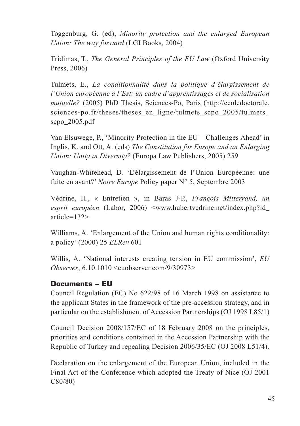Toggenburg, G. (ed), *Minority protection and the enlarged European Union: The way forward* (LGI Books, 2004)

Tridimas, T., *The General Principles of the EU Law* (Oxford University Press, 2006)

Tulmets, E., *La conditionnalité dans la politique d'élargissement de l'Union européenne à l'Est: un cadre d'apprentissages et de socialisation mutuelle?* (2005) PhD Thesis, Sciences-Po, Paris (http://ecoledoctorale. sciences-po.fr/theses/theses en\_ligne/tulmets\_scpo\_2005/tulmets scpo\_2005.pdf

Van Elsuwege, P., 'Minority Protection in the EU – Challenges Ahead' in Inglis, K. and Ott, A. (eds) *The Constitution for Europe and an Enlarging Union: Unity in Diversity?* (Europa Law Publishers, 2005) 259

Vaughan-Whitehead, D. 'L'élargissement de l'Union Européenne: une fuite en avant?' *Notre Europe* Policy paper N° 5, Septembre 2003

Védrine, H., « Entretien », in Baras J-P., *François Mitterrand, un esprit européen* (Labor, 2006) <www.hubertvedrine.net/index.php?id\_ article=132>

Williams, A. 'Enlargement of the Union and human rights conditionality: a policy' (2000) 25 *ELRev* 601

Willis, A. 'National interests creating tension in EU commission', *EU Observer*, 6.10.1010 <euobserver.com/9/30973>

#### **Documents – EU**

Council Regulation (EC) No 622/98 of 16 March 1998 on assistance to the applicant States in the framework of the pre-accession strategy, and in particular on the establishment of Accession Partnerships (OJ 1998 L85/1)

Council Decision 2008/157/EC of 18 February 2008 on the principles, priorities and conditions contained in the Accession Partnership with the Republic of Turkey and repealing Decision 2006/35/EC (OJ 2008 L51/4).

Declaration on the enlargement of the European Union, included in the Final Act of the Conference which adopted the Treaty of Nice (OJ 2001 C80/80)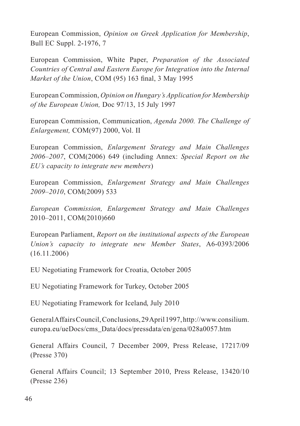European Commission, *Opinion on Greek Application for Membership*, Bull EC Suppl. 2-1976, 7

European Commission, White Paper, *Preparation of the Associated Countries of Central and Eastern Europe for Integration into the Internal Market of the Union*, COM (95) 163 final, 3 May 1995

European Commission, *Opinion on Hungary's Application for Membership of the European Union,* Doc 97/13, 15 July 1997

European Commission, Communication, *Agenda 2000. The Challenge of Enlargement,* COM(97) 2000, Vol. II

European Commission, *Enlargement Strategy and Main Challenges 2006–2007*, COM(2006) 649 (including Annex: *Special Report on the EU's capacity to integrate new members*)

European Commission, *Enlargement Strategy and Main Challenges 2009–2010*, COM(2009) 533

*European Commission, Enlargement Strategy and Main Challenges* 2010–2011, COM(2010)660

European Parliament, *Report on the institutional aspects of the European Union's capacity to integrate new Member States*, A6-0393/2006 (16.11.2006)

EU Negotiating Framework for Croatia, October 2005

EU Negotiating Framework for Turkey, October 2005

EU Negotiating Framework for Iceland, July 2010

General Affairs Council, Conclusions, 29 April 1997, http://www.consilium. europa.eu/ueDocs/cms\_Data/docs/pressdata/en/gena/028a0057.htm

General Affairs Council, 7 December 2009, Press Release, 17217/09 (Presse 370)

General Affairs Council; 13 September 2010, Press Release, 13420/10 (Presse 236)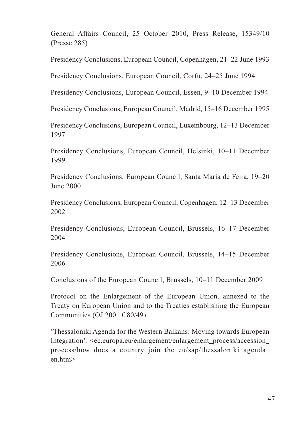General Affairs Council, 25 October 2010, Press Release, 15349/10 (Presse 285)

Presidency Conclusions, European Council, Copenhagen, 21–22 June 1993

Presidency Conclusions, European Council, Corfu, 24–25 June 1994

Presidency Conclusions, European Council, Essen, 9–10 December 1994

Presidency Conclusions, European Council, Madrid, 15–16 December 1995

Presidency Conclusions, European Council, Luxembourg, 12–13 December 1997

Presidency Conclusions, European Council, Helsinki, 10–11 December 1999

Presidency Conclusions, European Council, Santa Maria de Feira, 19–20 June 2000

Presidency Conclusions, European Council, Copenhagen, 12–13 December 2002

Presidency Conclusions, European Council, Brussels, 16–17 December 2004

Presidency Conclusions, European Council, Brussels, 14–15 December 2006

Conclusions of the European Council, Brussels, 10–11 December 2009

Protocol on the Enlargement of the European Union, annexed to the Treaty on European Union and to the Treaties establishing the European Communities (OJ 2001 C80/49)

'Thessaloniki Agenda for the Western Balkans: Moving towards European Integration': <ec.europa.eu/enlargement/enlargement\_process/accession\_ process/how\_does\_a\_country\_join\_the\_eu/sap/thessaloniki\_agenda\_ en.htm>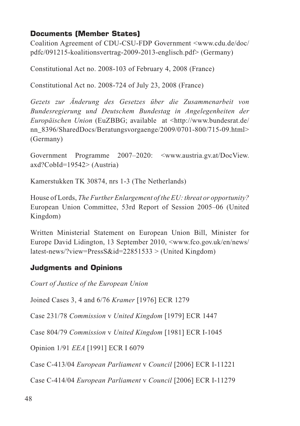## **Documents (Member States)**

Coalition Agreement of CDU-CSU-FDP Government <www.cdu.de/doc/ pdfc/091215-koalitionsvertrag-2009-2013-englisch.pdf> (Germany)

Constitutional Act no. 2008-103 of February 4, 2008 (France)

Constitutional Act no. 2008-724 of July 23, 2008 (France)

*Gezets zur Änderung des Gesetzes über die Zusammenarbeit von Bundesregierung und Deutschem Bundestag in Angelegenheiten der Europäischen Union* (EuZBBG; available at <http://www.bundesrat.de/ nn 8396/SharedDocs/Beratungsvorgaenge/2009/0701-800/715-09.html> (Germany)

Government Programme 2007–2020: <www.austria.gv.at/DocView. axd?CobId=19542> (Austria)

Kamerstukken TK 30874, nrs 1-3 (The Netherlands)

House of Lords, *The Further Enlargement of the EU: threat or opportunity?*  European Union Committee, 53rd Report of Session 2005–06 (United Kingdom)

Written Ministerial Statement on European Union Bill, Minister for Europe David Lidington, 13 September 2010, <www.fco.gov.uk/en/news/ latest-news/?view=PressS&id=22851533 > (United Kingdom)

## **Judgments and Opinions**

*Court of Justice of the European Union*

Joined Cases 3, 4 and 6/76 *Kramer* [1976] ECR 1279

Case 231/78 *Commission* v *United Kingdom* [1979] ECR 1447

Case 804/79 *Commission* v *United Kingdom* [1981] ECR I-1045

Opinion 1/91 *EEA* [1991] ECR I 6079

Case C-413/04 *European Parliament* v *Council* [2006] ECR I-11221

Case C-414/04 *European Parliament* v *Council* [2006] ECR I-11279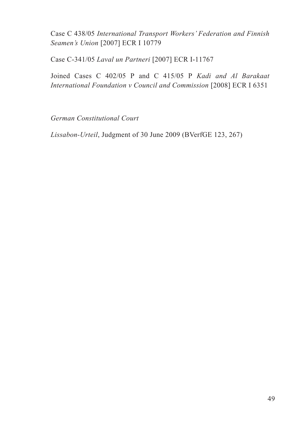Case C 438/05 *International Transport Workers' Federation and Finnish Seamen's Union* [2007] ECR I 10779

Case C-341/05 *Laval un Partneri* [2007] ECR I-11767

Joined Cases C 402/05 P and C 415/05 P *Kadi and Al Barakaat International Foundation v Council and Commission* [2008] ECR I 6351

*German Constitutional Court*

*Lissabon-Urteil*, Judgment of 30 June 2009 (BVerfGE 123, 267)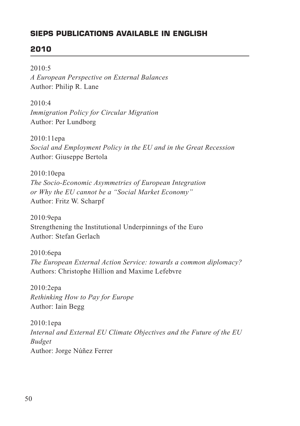## **SIEPS PUBLICATIONS AVAILABLE IN ENGLISH**

## **2010**

2010:5

*A European Perspective on External Balances* Author: Philip R. Lane

2010:4 *Immigration Policy for Circular Migration* Author: Per Lundborg

2010:11epa *Social and Employment Policy in the EU and in the Great Recession* Author: Giuseppe Bertola

2010:10epa *The Socio-Economic Asymmetries of European Integration or Why the EU cannot be a "Social Market Economy"* Author: Fritz W. Scharpf

2010:9epa Strengthening the Institutional Underpinnings of the Euro Author: Stefan Gerlach

2010:6epa *The European External Action Service: towards a common diplomacy?* Authors: Christophe Hillion and Maxime Lefebvre

2010:2epa *Rethinking How to Pay for Europe* Author: Iain Begg

2010:1epa *Internal and External EU Climate Objectives and the Future of the EU Budget* Author: Jorge Núñez Ferrer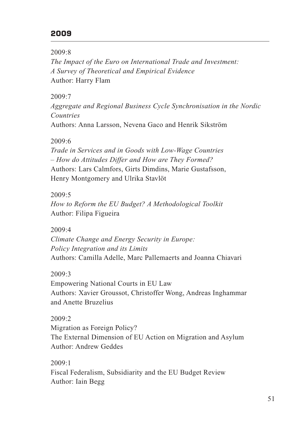#### **2009**

#### 2009:8

*The Impact of the Euro on International Trade and Investment: A Survey of Theoretical and Empirical Evidence* Author: Harry Flam

#### 2009:7

*Aggregate and Regional Business Cycle Synchronisation in the Nordic Countries*

Authors: Anna Larsson, Nevena Gaco and Henrik Sikström

#### 2009:6

*Trade in Services and in Goods with Low-Wage Countries – How do Attitudes Differ and How are They Formed?* Authors: Lars Calmfors, Girts Dimdins, Marie Gustafsson, Henry Montgomery and Ulrika Stavlöt

#### 2009:5

*How to Reform the EU Budget? A Methodological Toolkit* Author: Filipa Figueira

#### 2009:4

*Climate Change and Energy Security in Europe: Policy Integration and its Limits* Authors: Camilla Adelle, Marc Pallemaerts and Joanna Chiavari

#### 2009:3

Empowering National Courts in EU Law Authors: Xavier Groussot, Christoffer Wong, Andreas Inghammar and Anette Bruzelius

#### 2009:2

Migration as Foreign Policy? The External Dimension of EU Action on Migration and Asylum Author: Andrew Geddes

2009:1 Fiscal Federalism, Subsidiarity and the EU Budget Review Author: Iain Begg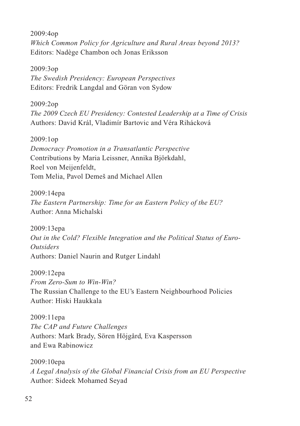2009:4op *Which Common Policy for Agriculture and Rural Areas beyond 2013?* Editors: Nadège Chambon och Jonas Eriksson

2009:3op *The Swedish Presidency: European Perspectives* Editors: Fredrik Langdal and Göran von Sydow

2009:2op *The 2009 Czech EU Presidency: Contested Leadership at a Time of Crisis* Authors: David Král, Vladimír Bartovic and Véra Rihácková

2009:1op *Democracy Promotion in a Transatlantic Perspective* Contributions by Maria Leissner, Annika Björkdahl, Roel von Meijenfeldt, Tom Melia, Pavol Demeš and Michael Allen

2009:14epa *The Eastern Partnership: Time for an Eastern Policy of the EU?* Author: Anna Michalski

2009:13epa *Out in the Cold? Flexible Integration and the Political Status of Euro-Outsiders* Authors: Daniel Naurin and Rutger Lindahl

2009:12epa *From Zero-Sum to Win-Win?* The Russian Challenge to the EU's Eastern Neighbourhood Policies Author: Hiski Haukkala

2009:11epa *The CAP and Future Challenges* Authors: Mark Brady, Sören Höjgård, Eva Kaspersson and Ewa Rabinowicz

2009:10epa *A Legal Analysis of the Global Financial Crisis from an EU Perspective* Author: Sideek Mohamed Seyad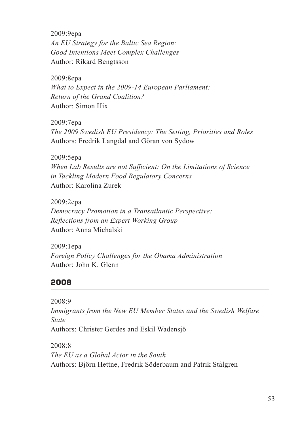2009:9epa *An EU Strategy for the Baltic Sea Region: Good Intentions Meet Complex Challenges* Author: Rikard Bengtsson

2009:8epa *What to Expect in the 2009-14 European Parliament: Return of the Grand Coalition?* Author: Simon Hix

2009:7epa *The 2009 Swedish EU Presidency: The Setting, Priorities and Roles* Authors: Fredrik Langdal and Göran von Sydow

2009:5epa *When Lab Results are not Sufficient: On the Limitations of Science in Tackling Modern Food Regulatory Concerns* Author: Karolina Zurek

2009:2epa *Democracy Promotion in a Transatlantic Perspective: Reflections from an Expert Working Group* Author: Anna Michalski

2009:1epa *Foreign Policy Challenges for the Obama Administration* Author: John K. Glenn

#### **2008**

2008:9 *Immigrants from the New EU Member States and the Swedish Welfare State* Authors: Christer Gerdes and Eskil Wadensjö

2008:8 *The EU as a Global Actor in the South* Authors: Björn Hettne, Fredrik Söderbaum and Patrik Stålgren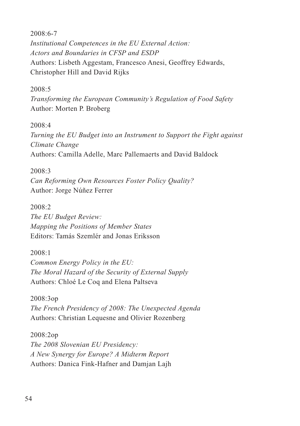2008:6-7 *Institutional Competences in the EU External Action: Actors and Boundaries in CFSP and ESDP* Authors: Lisbeth Aggestam, Francesco Anesi, Geoffrey Edwards, Christopher Hill and David Rijks

#### 2008:5

*Transforming the European Community's Regulation of Food Safety* Author: Morten P. Broberg

#### 2008:4

*Turning the EU Budget into an Instrument to Support the Fight against Climate Change* Authors: Camilla Adelle, Marc Pallemaerts and David Baldock

2008:3 *Can Reforming Own Resources Foster Policy Quality?* Author: Jorge Núñez Ferrer

2008:2 *The EU Budget Review: Mapping the Positions of Member States* Editors: Tamás Szemlér and Jonas Eriksson

2008:1 *Common Energy Policy in the EU: The Moral Hazard of the Security of External Supply* Authors: Chloé Le Coq and Elena Paltseva

2008:3op *The French Presidency of 2008: The Unexpected Agenda* Authors: Christian Lequesne and Olivier Rozenberg

2008:2op *The 2008 Slovenian EU Presidency: A New Synergy for Europe? A Midterm Report* Authors: Danica Fink-Hafner and Damjan Lajh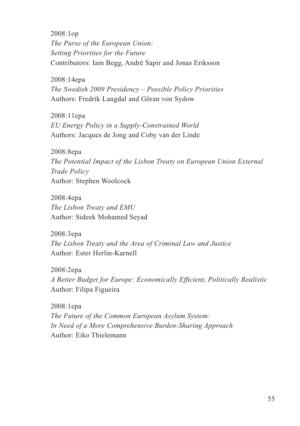2008:1op *The Purse of the European Union: Setting Priorities for the Future* Contributors: Iain Begg, André Sapir and Jonas Eriksson

2008:14epa *The Swedish 2009 Presidency – Possible Policy Priorities* Authors: Fredrik Langdal and Göran von Sydow

2008:11epa *EU Energy Policy in a Supply-Constrained World* Authors: Jacques de Jong and Coby van der Linde

2008:8epa *The Potential Impact of the Lisbon Treaty on European Union External Trade Policy* Author: Stephen Woolcock

2008:4epa *The Lisbon Treaty and EMU* Author: Sideek Mohamed Seyad

2008:3epa *The Lisbon Treaty and the Area of Criminal Law and Justice* Author: Ester Herlin-Karnell

2008:2epa *A Better Budget for Europe: Economically Efficient, Politically Realistic* Author: Filipa Figueira

2008:1epa *The Future of the Common European Asylum System: In Need of a More Comprehensive Burden-Sharing Approach* Author: Eiko Thielemann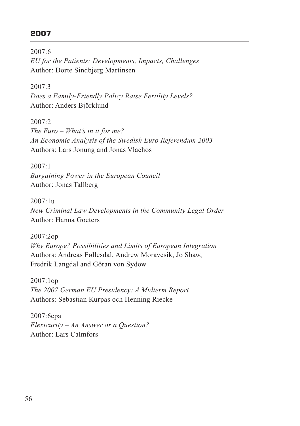## **2007**

2007:6 *EU for the Patients: Developments, Impacts, Challenges* Author: Dorte Sindbjerg Martinsen

2007:3 *Does a Family-Friendly Policy Raise Fertility Levels?* Author: Anders Björklund

 $2007.2$ *The Euro – What's in it for me? An Economic Analysis of the Swedish Euro Referendum 2003* Authors: Lars Jonung and Jonas Vlachos

2007:1 *Bargaining Power in the European Council* Author: Jonas Tallberg

2007:1u *New Criminal Law Developments in the Community Legal Order* Author: Hanna Goeters

2007:2op *Why Europe? Possibilities and Limits of European Integration* Authors: Andreas Føllesdal, Andrew Moravcsik, Jo Shaw, Fredrik Langdal and Göran von Sydow

2007:1op *The 2007 German EU Presidency: A Midterm Report* Authors: Sebastian Kurpas och Henning Riecke

2007:6epa *Flexicurity – An Answer or a Question?* Author: Lars Calmfors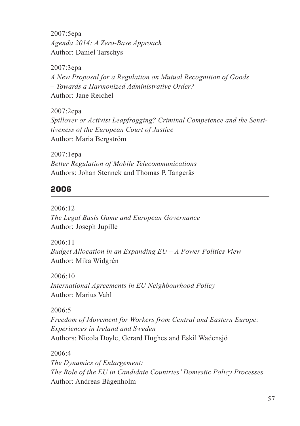2007:5epa *Agenda 2014: A Zero-Base Approach* Author: Daniel Tarschys

2007:3epa *A New Proposal for a Regulation on Mutual Recognition of Goods – Towards a Harmonized Administrative Order?* Author: Jane Reichel

2007:2epa *Spillover or Activist Leapfrogging? Criminal Competence and the Sensitiveness of the European Court of Justice* Author: Maria Bergström

2007:1epa *Better Regulation of Mobile Telecommunications* Authors: Johan Stennek and Thomas P. Tangerås

## **2006**

2006:12 *The Legal Basis Game and European Governance* Author: Joseph Jupille

2006:11 *Budget Allocation in an Expanding EU – A Power Politics View* Author: Mika Widgrén

2006:10 *International Agreements in EU Neighbourhood Policy* Author: Marius Vahl

2006:5 *Freedom of Movement for Workers from Central and Eastern Europe: Experiences in Ireland and Sweden* Authors: Nicola Doyle, Gerard Hughes and Eskil Wadensjö

2006:4

*The Dynamics of Enlargement: The Role of the EU in Candidate Countries' Domestic Policy Processes* Author: Andreas Bågenholm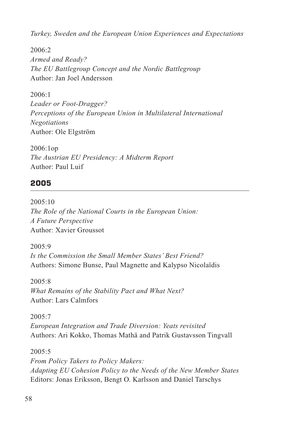*Turkey, Sweden and the European Union Experiences and Expectations*

 $2006:2$ *Armed and Ready? The EU Battlegroup Concept and the Nordic Battlegroup* Author: Jan Joel Andersson

2006:1 *Leader or Foot-Dragger? Perceptions of the European Union in Multilateral International Negotiations* Author: Ole Elgström

2006:1op *The Austrian EU Presidency: A Midterm Report* Author: Paul Luif

#### **2005**

 $2005:10$ *The Role of the National Courts in the European Union: A Future Perspective* Author: Xavier Groussot

2005:9 *Is the Commission the Small Member States' Best Friend?* Authors: Simone Bunse, Paul Magnette and Kalypso Nicolaïdis

 $2005.8$ *What Remains of the Stability Pact and What Next?* Author: Lars Calmfors

 $2005 - 7$ *European Integration and Trade Diversion: Yeats revisited* Authors: Ari Kokko, Thomas Mathä and Patrik Gustavsson Tingvall

2005:5 *From Policy Takers to Policy Makers: Adapting EU Cohesion Policy to the Needs of the New Member States* Editors: Jonas Eriksson, Bengt O. Karlsson and Daniel Tarschys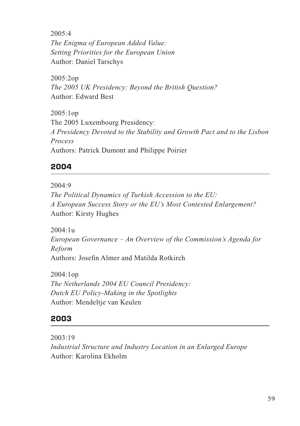2005:4 *The Enigma of European Added Value: Setting Priorities for the European Union* Author: Daniel Tarschys

2005:2op *The 2005 UK Presidency: Beyond the British Question?* Author: Edward Best

2005:1op The 2005 Luxembourg Presidency: *A Presidency Devoted to the Stability and Growth Pact and to the Lisbon Process* Authors: Patrick Dumont and Philippe Poirier

## **2004**

2004:9

*The Political Dynamics of Turkish Accession to the EU: A European Success Story or the EU's Most Contested Enlargement?* Author: Kirsty Hughes

2004:1u *European Governance – An Overview of the Commission's Agenda for Reform* Authors: Josefin Almer and Matilda Rotkirch

2004:1op *The Netherlands 2004 EU Council Presidency: Dutch EU Policy-Making in the Spotlights* Author: Mendeltje van Keulen

## **2003**

2003:19 *Industrial Structure and Industry Location in an Enlarged Europe* Author: Karolina Ekholm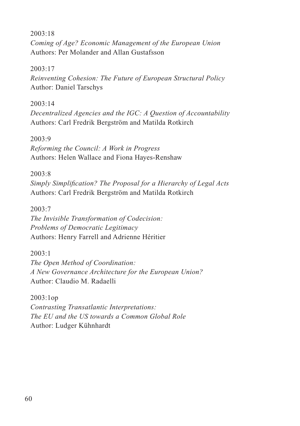#### 2003:18

*Coming of Age? Economic Management of the European Union* Authors: Per Molander and Allan Gustafsson

#### 2003:17

*Reinventing Cohesion: The Future of European Structural Policy* Author: Daniel Tarschys

#### 2003:14

*Decentralized Agencies and the IGC: A Question of Accountability* Authors: Carl Fredrik Bergström and Matilda Rotkirch

#### 2003:9

*Reforming the Council: A Work in Progress* Authors: Helen Wallace and Fiona Hayes-Renshaw

#### 2003:8

*Simply Simplification? The Proposal for a Hierarchy of Legal Acts* Authors: Carl Fredrik Bergström and Matilda Rotkirch

2003:7

*The Invisible Transformation of Codecision: Problems of Democratic Legitimacy* Authors: Henry Farrell and Adrienne Héritier

2003:1 *The Open Method of Coordination: A New Governance Architecture for the European Union?* Author: Claudio M. Radaelli

2003:1op *Contrasting Transatlantic Interpretations: The EU and the US towards a Common Global Role* Author: Ludger Kühnhardt